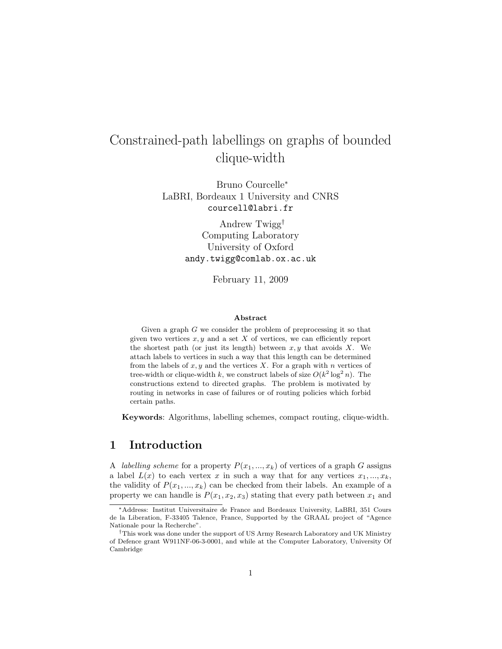# Constrained-path labellings on graphs of bounded clique-width

Bruno Courcelle<sup>∗</sup> LaBRI, Bordeaux 1 University and CNRS courcell@labri.fr

> Andrew Twigg† Computing Laboratory University of Oxford andy.twigg@comlab.ox.ac.uk

> > February 11, 2009

#### Abstract

Given a graph G we consider the problem of preprocessing it so that given two vertices  $x, y$  and a set  $X$  of vertices, we can efficiently report the shortest path (or just its length) between  $x, y$  that avoids  $X$ . We attach labels to vertices in such a way that this length can be determined from the labels of  $x, y$  and the vertices X. For a graph with n vertices of tree-width or clique-width k, we construct labels of size  $O(k^2 \log^2 n)$ . The constructions extend to directed graphs. The problem is motivated by routing in networks in case of failures or of routing policies which forbid certain paths.

Keywords: Algorithms, labelling schemes, compact routing, clique-width.

# 1 Introduction

A *labelling scheme* for a property  $P(x_1, ..., x_k)$  of vertices of a graph G assigns a label  $L(x)$  to each vertex x in such a way that for any vertices  $x_1, ..., x_k$ , the validity of  $P(x_1, ..., x_k)$  can be checked from their labels. An example of a property we can handle is  $P(x_1, x_2, x_3)$  stating that every path between  $x_1$  and

<sup>∗</sup>Address: Institut Universitaire de France and Bordeaux University, LaBRI, 351 Cours de la Liberation, F-33405 Talence, France, Supported by the GRAAL project of "Agence Nationale pour la Recherche".

<sup>†</sup>This work was done under the support of US Army Research Laboratory and UK Ministry of Defence grant W911NF-06-3-0001, and while at the Computer Laboratory, University Of Cambridge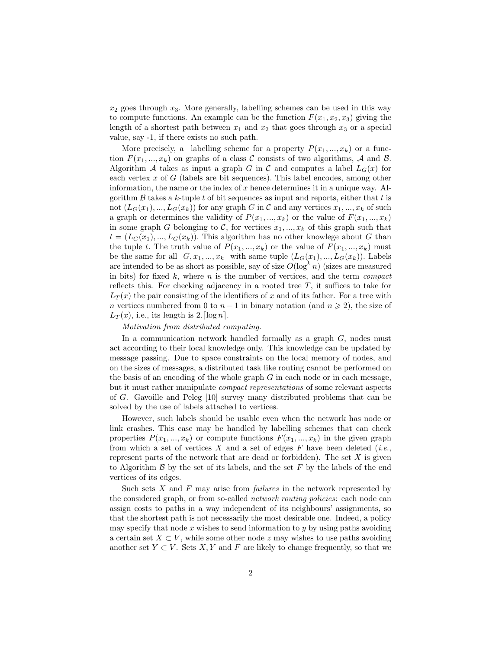$x_2$  goes through  $x_3$ . More generally, labelling schemes can be used in this way to compute functions. An example can be the function  $F(x_1, x_2, x_3)$  giving the length of a shortest path between  $x_1$  and  $x_2$  that goes through  $x_3$  or a special value, say -1, if there exists no such path.

More precisely, a labelling scheme for a property  $P(x_1, ..., x_k)$  or a function  $F(x_1, ..., x_k)$  on graphs of a class C consists of two algorithms, A and B. Algorithm A takes as input a graph G in C and computes a label  $L_G(x)$  for each vertex  $x$  of  $G$  (labels are bit sequences). This label encodes, among other information, the name or the index of  $x$  hence determines it in a unique way. Algorithm  $\beta$  takes a k-tuple t of bit sequences as input and reports, either that t is not  $(L_G(x_1),..., L_G(x_k))$  for any graph G in C and any vertices  $x_1, ..., x_k$  of such a graph or determines the validity of  $P(x_1, ..., x_k)$  or the value of  $F(x_1, ..., x_k)$ in some graph G belonging to C, for vertices  $x_1, ..., x_k$  of this graph such that  $t = (L_G(x_1), ..., L_G(x_k))$ . This algorithm has no other knowlege about G than the tuple t. The truth value of  $P(x_1, ..., x_k)$  or the value of  $F(x_1, ..., x_k)$  must be the same for all  $G, x_1, ..., x_k$  with same tuple  $(L_G(x_1), ..., L_G(x_k))$ . Labels are intended to be as short as possible, say of size  $O(\log^k n)$  (sizes are measured in bits) for fixed  $k$ , where  $n$  is the number of vertices, and the term *compact* reflects this. For checking adjacency in a rooted tree  $T$ , it suffices to take for  $L_T(x)$  the pair consisting of the identifiers of x and of its father. For a tree with n vertices numbered from 0 to  $n-1$  in binary notation (and  $n \geq 2$ ), the size of  $L_T(x)$ , i.e., its length is 2. [log n].

#### Motivation from distributed computing.

In a communication network handled formally as a graph  $G$ , nodes must act according to their local knowledge only. This knowledge can be updated by message passing. Due to space constraints on the local memory of nodes, and on the sizes of messages, a distributed task like routing cannot be performed on the basis of an encoding of the whole graph  $G$  in each node or in each message, but it must rather manipulate compact representations of some relevant aspects of G. Gavoille and Peleg [10] survey many distributed problems that can be solved by the use of labels attached to vertices.

However, such labels should be usable even when the network has node or link crashes. This case may be handled by labelling schemes that can check properties  $P(x_1, ..., x_k)$  or compute functions  $F(x_1, ..., x_k)$  in the given graph from which a set of vertices X and a set of edges F have been deleted (*i.e.*, represent parts of the network that are dead or forbidden). The set  $X$  is given to Algorithm  $\beta$  by the set of its labels, and the set  $F$  by the labels of the end vertices of its edges.

Such sets X and F may arise from *failures* in the network represented by the considered graph, or from so-called network routing policies: each node can assign costs to paths in a way independent of its neighbours' assignments, so that the shortest path is not necessarily the most desirable one. Indeed, a policy may specify that node  $x$  wishes to send information to  $y$  by using paths avoiding a certain set  $X \subset V$ , while some other node z may wishes to use paths avoiding another set  $Y \subset V$ . Sets X, Y and F are likely to change frequently, so that we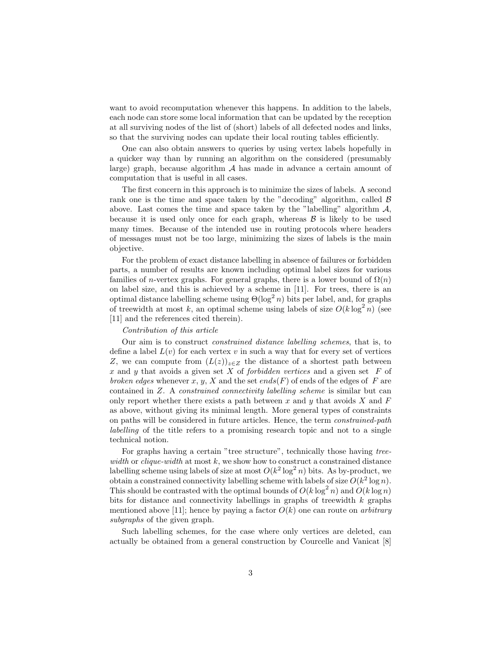want to avoid recomputation whenever this happens. In addition to the labels, each node can store some local information that can be updated by the reception at all surviving nodes of the list of (short) labels of all defected nodes and links, so that the surviving nodes can update their local routing tables efficiently.

One can also obtain answers to queries by using vertex labels hopefully in a quicker way than by running an algorithm on the considered (presumably large) graph, because algorithm  $A$  has made in advance a certain amount of computation that is useful in all cases.

The first concern in this approach is to minimize the sizes of labels. A second rank one is the time and space taken by the "decoding" algorithm, called  $\beta$ above. Last comes the time and space taken by the "labelling" algorithm  $\mathcal{A}$ , because it is used only once for each graph, whereas  $\beta$  is likely to be used many times. Because of the intended use in routing protocols where headers of messages must not be too large, minimizing the sizes of labels is the main objective.

For the problem of exact distance labelling in absence of failures or forbidden parts, a number of results are known including optimal label sizes for various families of *n*-vertex graphs. For general graphs, there is a lower bound of  $\Omega(n)$ on label size, and this is achieved by a scheme in [11]. For trees, there is an optimal distance labelling scheme using  $\Theta(\log^2 n)$  bits per label, and, for graphs of treewidth at most k, an optimal scheme using labels of size  $O(k \log^2 n)$  (see [11] and the references cited therein).

#### Contribution of this article

Our aim is to construct constrained distance labelling schemes, that is, to define a label  $L(v)$  for each vertex v in such a way that for every set of vertices Z, we can compute from  $(L(z))_{z\in Z}$  the distance of a shortest path between x and y that avoids a given set  $X$  of *forbidden vertices* and a given set  $F$  of broken edges whenever x, y, X and the set ends(F) of ends of the edges of F are contained in Z. A constrained connectivity labelling scheme is similar but can only report whether there exists a path between  $x$  and  $y$  that avoids  $X$  and  $F$ as above, without giving its minimal length. More general types of constraints on paths will be considered in future articles. Hence, the term constrained-path labelling of the title refers to a promising research topic and not to a single technical notion.

For graphs having a certain "tree structure", technically those having treewidth or clique-width at most  $k$ , we show how to construct a constrained distance labelling scheme using labels of size at most  $O(k^2 \log^2 n)$  bits. As by-product, we obtain a constrained connectivity labelling scheme with labels of size  $O(k^2 \log n)$ . This should be contrasted with the optimal bounds of  $O(k \log^2 n)$  and  $O(k \log n)$ bits for distance and connectivity labellings in graphs of treewidth k graphs mentioned above [11]; hence by paying a factor  $O(k)$  one can route on *arbitrary* subgraphs of the given graph.

Such labelling schemes, for the case where only vertices are deleted, can actually be obtained from a general construction by Courcelle and Vanicat [8]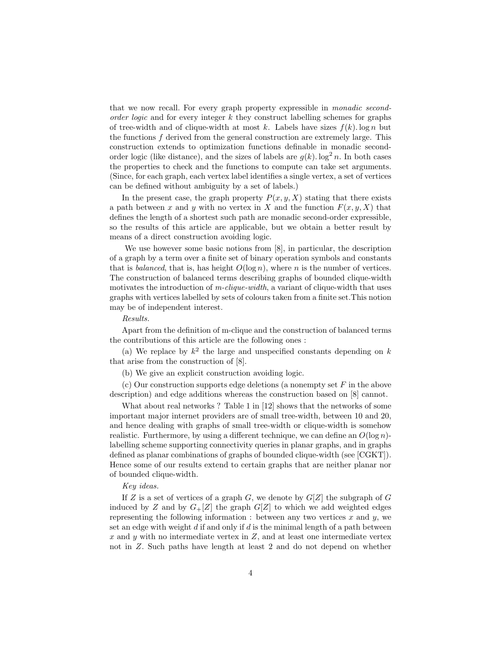that we now recall. For every graph property expressible in monadic secondorder logic and for every integer  $k$  they construct labelling schemes for graphs of tree-width and of clique-width at most k. Labels have sizes  $f(k)$ . log n but the functions f derived from the general construction are extremely large. This construction extends to optimization functions definable in monadic secondorder logic (like distance), and the sizes of labels are  $g(k)$ . log<sup>2</sup> n. In both cases the properties to check and the functions to compute can take set arguments. (Since, for each graph, each vertex label identifies a single vertex, a set of vertices can be defined without ambiguity by a set of labels.)

In the present case, the graph property  $P(x, y, X)$  stating that there exists a path between x and y with no vertex in X and the function  $F(x, y, X)$  that defines the length of a shortest such path are monadic second-order expressible, so the results of this article are applicable, but we obtain a better result by means of a direct construction avoiding logic.

We use however some basic notions from [8], in particular, the description of a graph by a term over a finite set of binary operation symbols and constants that is *balanced*, that is, has height  $O(\log n)$ , where n is the number of vertices. The construction of balanced terms describing graphs of bounded clique-width motivates the introduction of  $m$ -clique-width, a variant of clique-width that uses graphs with vertices labelled by sets of colours taken from a finite set.This notion may be of independent interest.

#### Results.

Apart from the definition of m-clique and the construction of balanced terms the contributions of this article are the following ones :

(a) We replace by  $k^2$  the large and unspecified constants depending on k that arise from the construction of [8].

(b) We give an explicit construction avoiding logic.

(c) Our construction supports edge deletions (a nonempty set  $F$  in the above description) and edge additions whereas the construction based on [8] cannot.

What about real networks ? Table 1 in [12] shows that the networks of some important major internet providers are of small tree-width, between 10 and 20, and hence dealing with graphs of small tree-width or clique-width is somehow realistic. Furthermore, by using a different technique, we can define an  $O(\log n)$ labelling scheme supporting connectivity queries in planar graphs, and in graphs defined as planar combinations of graphs of bounded clique-width (see [CGKT]). Hence some of our results extend to certain graphs that are neither planar nor of bounded clique-width.

### Key ideas.

If Z is a set of vertices of a graph G, we denote by  $G[Z]$  the subgraph of G induced by Z and by  $G_{+}[Z]$  the graph  $G[Z]$  to which we add weighted edges representing the following information : between any two vertices  $x$  and  $y$ , we set an edge with weight  $d$  if and only if  $d$  is the minimal length of a path between  $x$  and  $y$  with no intermediate vertex in  $Z$ , and at least one intermediate vertex not in Z. Such paths have length at least 2 and do not depend on whether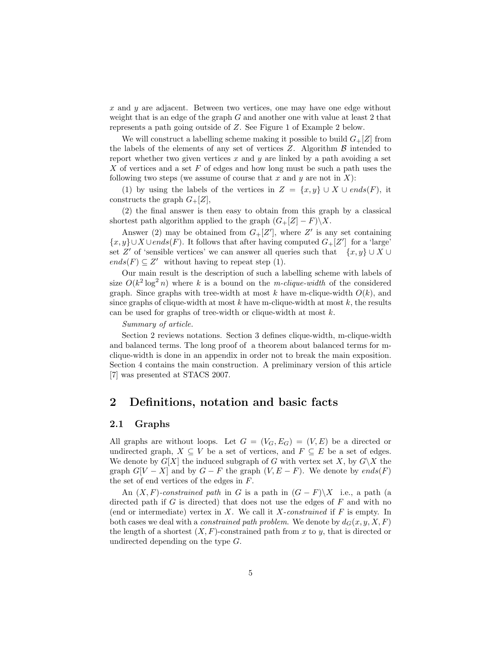x and y are adjacent. Between two vertices, one may have one edge without weight that is an edge of the graph G and another one with value at least 2 that represents a path going outside of Z. See Figure 1 of Example 2 below.

We will construct a labelling scheme making it possible to build  $G_{+}[Z]$  from the labels of the elements of any set of vertices  $Z$ . Algorithm  $\beta$  intended to report whether two given vertices  $x$  and  $y$  are linked by a path avoiding a set X of vertices and a set F of edges and how long must be such a path uses the following two steps (we assume of course that x and y are not in  $X$ ):

(1) by using the labels of the vertices in  $Z = \{x, y\} \cup X \cup ends(F)$ , it constructs the graph  $G_{+}[Z]$ ,

(2) the final answer is then easy to obtain from this graph by a classical shortest path algorithm applied to the graph  $(G_+[Z]-F)\backslash X$ .

Answer (2) may be obtained from  $G+[Z']$ , where  $Z'$  is any set containing  ${x, y}$  ∪ X ∪ends(F). It follows that after having computed  $G_+[Z']$  for a 'large' set Z' of 'sensible vertices' we can answer all queries such that  $\{x, y\} \cup X \cup$  $ends(F) \subseteq Z'$  without having to repeat step (1).

Our main result is the description of such a labelling scheme with labels of size  $O(k^2 \log^2 n)$  where k is a bound on the m-clique-width of the considered graph. Since graphs with tree-width at most  $k$  have m-clique-width  $O(k)$ , and since graphs of clique-width at most  $k$  have m-clique-width at most  $k$ , the results can be used for graphs of tree-width or clique-width at most k.

#### Summary of article.

Section 2 reviews notations. Section 3 defines clique-width, m-clique-width and balanced terms. The long proof of a theorem about balanced terms for mclique-width is done in an appendix in order not to break the main exposition. Section 4 contains the main construction. A preliminary version of this article [7] was presented at STACS 2007.

# 2 Definitions, notation and basic facts

### 2.1 Graphs

All graphs are without loops. Let  $G = (V_G, E_G) = (V, E)$  be a directed or undirected graph,  $X \subseteq V$  be a set of vertices, and  $F \subseteq E$  be a set of edges. We denote by  $G[X]$  the induced subgraph of G with vertex set X, by  $G\ X$  the graph  $G[V - X]$  and by  $G - F$  the graph  $(V, E - F)$ . We denote by  $ends(F)$ the set of end vertices of the edges in F.

An  $(X, F)$ -constrained path in G is a path in  $(G - F) \setminus X$  i.e., a path (a directed path if G is directed) that does not use the edges of  $F$  and with no (end or intermediate) vertex in  $X$ . We call it  $X$ -constrained if  $F$  is empty. In both cases we deal with a *constrained path problem*. We denote by  $d_G(x, y, X, F)$ the length of a shortest  $(X, F)$ -constrained path from x to y, that is directed or undirected depending on the type G.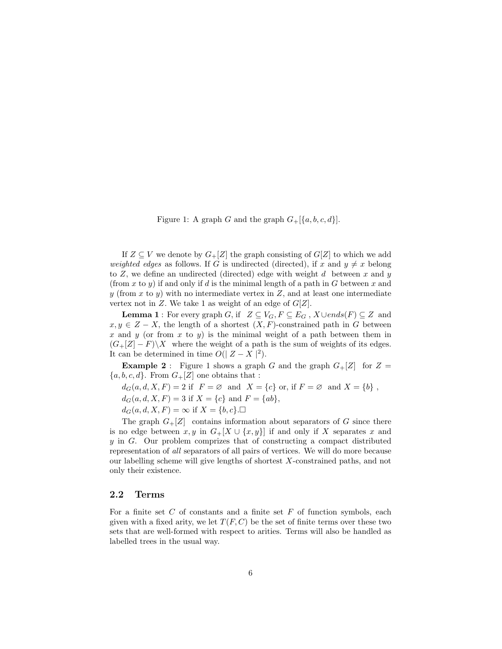Figure 1: A graph G and the graph  $G_{+}[\{a, b, c, d\}].$ 

If  $Z \subseteq V$  we denote by  $G_{+}[Z]$  the graph consisting of  $G[Z]$  to which we add weighted edges as follows. If G is undirected (directed), if x and  $y \neq x$  belong to  $Z$ , we define an undirected (directed) edge with weight  $d$  between  $x$  and  $y$ (from x to y) if and only if d is the minimal length of a path in  $G$  between x and y (from x to y) with no intermediate vertex in  $Z$ , and at least one intermediate vertex not in Z. We take 1 as weight of an edge of  $G[Z]$ .

**Lemma 1**: For every graph G, if  $Z \subseteq V_G$ ,  $F \subseteq E_G$ ,  $X \cup ends(F) \subseteq Z$  and  $x, y \in Z - X$ , the length of a shortest  $(X, F)$ -constrained path in G between x and y (or from x to y) is the minimal weight of a path between them in  $(G_{+}[Z] - F)\X$  where the weight of a path is the sum of weights of its edges. It can be determined in time  $O(|Z - X|^2)$ .

**Example 2**: Figure 1 shows a graph G and the graph  $G_{+}[Z]$  for  $Z =$  ${a, b, c, d}$ . From  $G_{+}[Z]$  one obtains that :

 $d_G(a,d,X,F)=2\text{ if }\ F=\varnothing\ \text{ and }\ X=\{c\}\text{ or, if }F=\varnothing\ \text{ and }X=\{b\}\ ,$ 

 $d_G(a, d, X, F) = 3$  if  $X = \{c\}$  and  $F = \{ab\},\$ 

 $d_G(a, d, X, F) = \infty$  if  $X = \{b, c\}$ .

The graph  $G_{+}[Z]$  contains information about separators of G since there is no edge between  $x, y$  in  $G_{+}[X \cup \{x, y\}]$  if and only if X separates x and  $y$  in  $G$ . Our problem comprizes that of constructing a compact distributed representation of all separators of all pairs of vertices. We will do more because our labelling scheme will give lengths of shortest X-constrained paths, and not only their existence.

# 2.2 Terms

For a finite set  $C$  of constants and a finite set  $F$  of function symbols, each given with a fixed arity, we let  $T(F, C)$  be the set of finite terms over these two sets that are well-formed with respect to arities. Terms will also be handled as labelled trees in the usual way.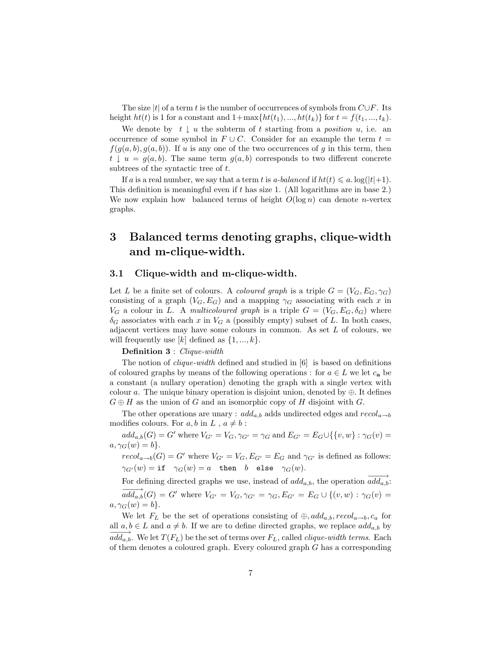The size  $|t|$  of a term t is the number of occurrences of symbols from  $C \cup F$ . Its height  $ht(t)$  is 1 for a constant and  $1+\max\{ht(t_1),...,ht(t_k)\}\$  for  $t = f(t_1,...,t_k)$ .

We denote by  $t \downarrow u$  the subterm of t starting from a *position* u, i.e. an occurrence of some symbol in  $F \cup C$ . Consider for an example the term  $t =$  $f(g(a, b), g(a, b))$ . If u is any one of the two occurrences of g in this term, then  $t \downarrow u = g(a, b)$ . The same term  $g(a, b)$  corresponds to two different concrete subtrees of the syntactic tree of t.

If a is a real number, we say that a term t is a-balanced if  $ht(t) \leq a$ .  $\log(|t|+1)$ . This definition is meaningful even if t has size 1. (All logarithms are in base 2.) We now explain how balanced terms of height  $O(\log n)$  can denote *n*-vertex graphs.

# 3 Balanced terms denoting graphs, clique-width and m-clique-width.

## 3.1 Clique-width and m-clique-width.

Let L be a finite set of colours. A *coloured graph* is a triple  $G = (V_G, E_G, \gamma_G)$ consisting of a graph  $(V_G, E_G)$  and a mapping  $\gamma_G$  associating with each x in  $V_G$  a colour in L. A multicoloured graph is a triple  $G = (V_G, E_G, \delta_G)$  where  $\delta_G$  associates with each x in  $V_G$  a (possibly empty) subset of L. In both cases, adjacent vertices may have some colours in common. As set  $L$  of colours, we will frequently use  $[k]$  defined as  $\{1, ..., k\}$ .

# Definition 3 : Clique-width

The notion of *clique-width* defined and studied in [6] is based on definitions of coloured graphs by means of the following operations : for  $a \in L$  we let  $c_{a}$  be a constant (a nullary operation) denoting the graph with a single vertex with colour a. The unique binary operation is disjoint union, denoted by  $\oplus$ . It defines  $G \oplus H$  as the union of G and an isomorphic copy of H disjoint with G.

The other operations are unary :  $add_{a,b}$  adds undirected edges and  $recol_{a\rightarrow b}$ modifies colours. For  $a, b$  in  $L$ ,  $a \neq b$ :

 $add_{a,b}(G) = G'$  where  $V_{G'} = V_G$ ,  $\gamma_{G'} = \gamma_G$  and  $E_{G'} = E_G \cup \{\{v,w\} : \gamma_G(v) =$  $a, \gamma_G(w) = b$ .

 $recol_{a\rightarrow b}(G) = G'$  where  $V_{G'} = V_G$ ,  $E_{G'} = E_G$  and  $\gamma_{G'}$  is defined as follows:  $\gamma_{G'}(w) = \text{if} \quad \gamma_G(w) = a \quad \text{then} \quad b \quad \text{else} \quad \gamma_G(w).$ 

For defining directed graphs we use, instead of  $add_{a,b}$ , the operation  $\overrightarrow{add_{a,b}}$ :  $\overrightarrow{add_{a,b}}(G) = G'$  where  $V_{G'} = V_G$ ,  $\gamma_{G'} = \gamma_G$ ,  $E_{G'} = E_G \cup \{(v,w) : \gamma_G(v) =$  $a, \gamma_G(w) = b$ .

We let  $F_L$  be the set of operations consisting of  $\oplus$ ,  $add_{a,b}$ ,  $recol_{a\rightarrow b}$ ,  $c_a$  for all  $a, b \in L$  and  $a \neq b$ . If we are to define directed graphs, we replace  $add_{a,b}$  by  $\overrightarrow{add_a,b}$ . We let  $T(F_L)$  be the set of terms over  $F_L$ , called *clique-width terms*. Each of them denotes a coloured graph. Every coloured graph  $G$  has a corresponding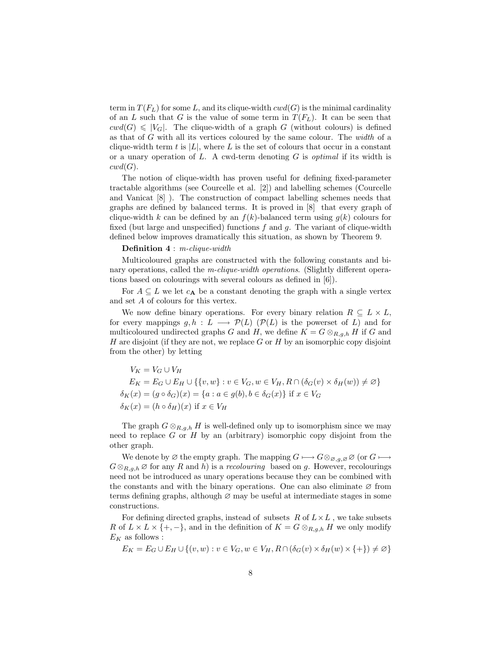term in  $T(F_L)$  for some L, and its clique-width  $cwd(G)$  is the minimal cardinality of an L such that G is the value of some term in  $T(F_L)$ . It can be seen that  $cwd(G) \leq |V_G|$ . The clique-width of a graph G (without colours) is defined as that of G with all its vertices coloured by the same colour. The width of a clique-width term t is  $|L|$ , where L is the set of colours that occur in a constant or a unary operation of  $L$ . A cwd-term denoting  $G$  is *optimal* if its width is  $\mathit{cwd}(G)$ .

The notion of clique-width has proven useful for defining fixed-parameter tractable algorithms (see Courcelle et al. [2]) and labelling schemes (Courcelle and Vanicat [8] ). The construction of compact labelling schemes needs that graphs are defined by balanced terms. It is proved in [8] that every graph of clique-width k can be defined by an  $f(k)$ -balanced term using  $g(k)$  colours for fixed (but large and unspecified) functions  $f$  and  $g$ . The variant of clique-width defined below improves dramatically this situation, as shown by Theorem 9.

#### Definition 4 : m-clique-width

Multicoloured graphs are constructed with the following constants and binary operations, called the *m-clique-width operations*. (Slightly different operations based on colourings with several colours as defined in [6]).

For  $A \subseteq L$  we let  $c_A$  be a constant denoting the graph with a single vertex and set A of colours for this vertex.

We now define binary operations. For every binary relation  $R \subseteq L \times L$ , for every mappings  $g, h : L \longrightarrow \mathcal{P}(L)$  ( $\mathcal{P}(L)$  is the powerset of L) and for multicoloured undirected graphs G and H, we define  $K = G \otimes_{R,g,h} H$  if G and H are disjoint (if they are not, we replace  $G$  or  $H$  by an isomorphic copy disjoint from the other) by letting

$$
V_K = V_G \cup V_H
$$
  
\n
$$
E_K = E_G \cup E_H \cup \{\{v, w\} : v \in V_G, w \in V_H, R \cap (\delta_G(v) \times \delta_H(w)) \neq \emptyset\}
$$
  
\n
$$
\delta_K(x) = (g \circ \delta_G)(x) = \{a : a \in g(b), b \in \delta_G(x)\} \text{ if } x \in V_G
$$
  
\n
$$
\delta_K(x) = (h \circ \delta_H)(x) \text{ if } x \in V_H
$$

The graph  $G \otimes_{R,q,h} H$  is well-defined only up to isomorphism since we may need to replace  $G$  or  $H$  by an (arbitrary) isomorphic copy disjoint from the other graph.

We denote by  $\varnothing$  the empty graph. The mapping  $G \longmapsto G \otimes_{\varnothing, g, \varnothing} \varnothing$  (or  $G \longmapsto$  $G \otimes_{R,g,h} \varnothing$  for any R and h) is a recolouring based on g. However, recolourings need not be introduced as unary operations because they can be combined with the constants and with the binary operations. One can also eliminate  $\varnothing$  from terms defining graphs, although ∅ may be useful at intermediate stages in some constructions.

For defining directed graphs, instead of subsets  $R$  of  $L \times L$ , we take subsets R of  $L \times L \times \{+, -\}$ , and in the definition of  $K = G \otimes_{R,g,h} H$  we only modify  $E_K$  as follows :

$$
E_K = E_G \cup E_H \cup \{(v, w) : v \in V_G, w \in V_H, R \cap (\delta_G(v) \times \delta_H(w) \times \{+\}) \neq \varnothing\}
$$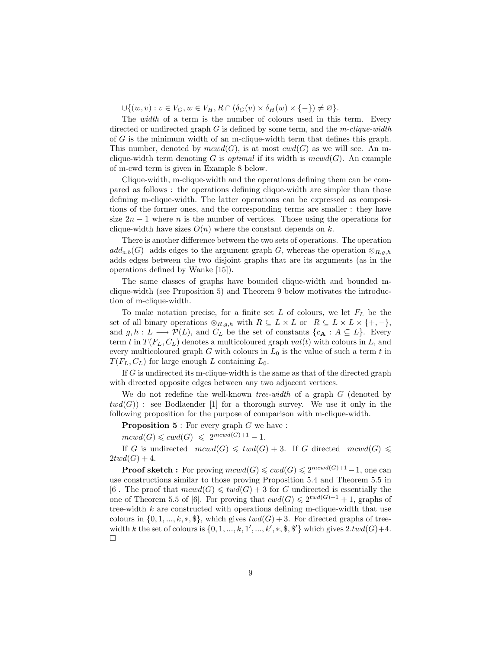$\bigcup \{(w, v) : v \in V_G, w \in V_H, R \cap (\delta_G(v) \times \delta_H(w) \times \{-\}) \neq \varnothing\}.$ 

The *width* of a term is the number of colours used in this term. Every directed or undirected graph  $G$  is defined by some term, and the m-clique-width of G is the minimum width of an m-clique-width term that defines this graph. This number, denoted by  $mcwd(G)$ , is at most  $cwd(G)$  as we will see. An mclique-width term denoting G is *optimal* if its width is  $mcvd(G)$ . An example of m-cwd term is given in Example 8 below.

Clique-width, m-clique-width and the operations defining them can be compared as follows : the operations defining clique-width are simpler than those defining m-clique-width. The latter operations can be expressed as compositions of the former ones, and the corresponding terms are smaller : they have size  $2n - 1$  where n is the number of vertices. Those using the operations for clique-width have sizes  $O(n)$  where the constant depends on k.

There is another difference between the two sets of operations. The operation  $add_{a,b}(G)$  adds edges to the argument graph G, whereas the operation  $\otimes_{R,a,b}$ adds edges between the two disjoint graphs that are its arguments (as in the operations defined by Wanke [15]).

The same classes of graphs have bounded clique-width and bounded mclique-width (see Proposition 5) and Theorem 9 below motivates the introduction of m-clique-width.

To make notation precise, for a finite set  $L$  of colours, we let  $F_L$  be the set of all binary operations  $\otimes_{R,g,h}$  with  $R \subseteq L \times L$  or  $R \subseteq L \times L \times \{+,-\},$ and  $g, h: L \longrightarrow \mathcal{P}(L)$ , and  $C_L$  be the set of constants  $\{c_{\mathbf{A}}: A \subseteq L\}$ . Every term t in  $T(F_L, C_L)$  denotes a multicoloured graph  $val(t)$  with colours in L, and every multicoloured graph  $G$  with colours in  $L_0$  is the value of such a term  $t$  in  $T(F_L, C_L)$  for large enough L containing  $L_0$ .

If  $G$  is undirected its m-clique-width is the same as that of the directed graph with directed opposite edges between any two adjacent vertices.

We do not redefine the well-known *tree-width* of a graph  $G$  (denoted by  $twd(G)$ : see Bodlaender [1] for a thorough survey. We use it only in the following proposition for the purpose of comparison with m-clique-width.

**Proposition 5** : For every graph  $G$  we have :

 $mcwd(G) \leqslant cwd(G) \leqslant 2^{mcwd(G)+1}-1.$ 

If G is undirected  $mcwd(G) \leq twd(G) + 3$ . If G directed  $mcwd(G) \leq$  $2twd(G) + 4.$ 

**Proof sketch**: For proving  $mcwd(G) \leqslant cwd(G) \leqslant 2^{mcwd(G)+1} - 1$ , one can use constructions similar to those proving Proposition 5.4 and Theorem 5.5 in [6]. The proof that  $mcvd(G) \leq wd(G) + 3$  for G undirected is essentially the one of Theorem 5.5 of [6]. For proving that  $\text{cwd}(G) \leq 2^{\text{twd}(G)+1} + 1$ , graphs of tree-width  $k$  are constructed with operations defining m-clique-width that use colours in  $\{0, 1, ..., k, *, \$ , which gives  $twd(G) + 3$ . For directed graphs of treewidth k the set of colours is  $\{0, 1, ..., k, 1', ..., k', *, \$, \$'\}$  which gives  $2.twd(G) + 4$ .  $\Box$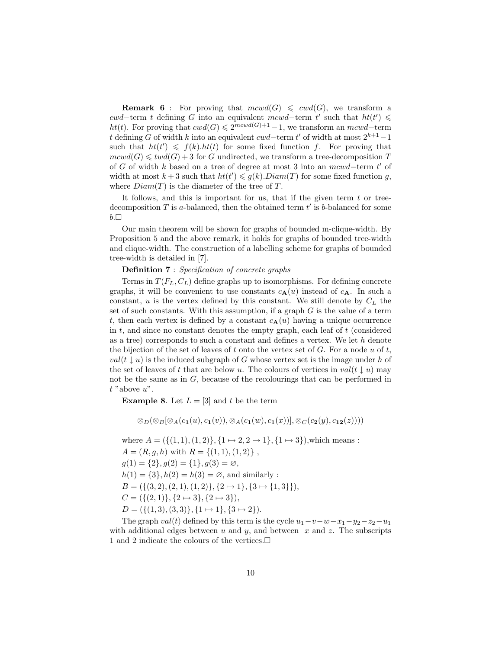**Remark 6**: For proving that  $mcwd(G) \leq cvd(G)$ , we transform a cwd–term t defining G into an equivalent mcwd–term t' such that  $ht(t') \leq$ ht(t). For proving that  $cwd(G) \leq 2^{mcwd(G)+1} - 1$ , we transform an mcwd-term t defining G of width k into an equivalent cwd–term t' of width at most  $2^{k+1}-1$ such that  $ht(t') \leq f(k) \cdot ht(t)$  for some fixed function f. For proving that  $mcwd(G) \leq twd(G) + 3$  for G undirected, we transform a tree-decomposition T of G of width k based on a tree of degree at most 3 into an  $mcwd$ -term t' of width at most  $k+3$  such that  $ht(t') \leq g(k)$ .  $Diam(T)$  for some fixed function g, where  $Diam(T)$  is the diameter of the tree of T.

It follows, and this is important for us, that if the given term  $t$  or treedecomposition  $T$  is a-balanced, then the obtained term  $t'$  is b-balanced for some  $b.\Box$ 

Our main theorem will be shown for graphs of bounded m-clique-width. By Proposition 5 and the above remark, it holds for graphs of bounded tree-width and clique-width. The construction of a labelling scheme for graphs of bounded tree-width is detailed in [7].

# Definition 7 : Specification of concrete graphs

Terms in  $T(F_L, C_L)$  define graphs up to isomorphisms. For defining concrete graphs, it will be convenient to use constants  $c_{\mathbf{A}}(u)$  instead of  $c_{\mathbf{A}}$ . In such a constant,  $u$  is the vertex defined by this constant. We still denote by  $C_L$  the set of such constants. With this assumption, if a graph  $G$  is the value of a term t, then each vertex is defined by a constant  $c_{\mathbf{A}}(u)$  having a unique occurrence in  $t$ , and since no constant denotes the empty graph, each leaf of  $t$  (considered as a tree) corresponds to such a constant and defines a vertex. We let h denote the bijection of the set of leaves of t onto the vertex set of  $G$ . For a node  $u$  of  $t$ ,  $val(t \downarrow u)$  is the induced subgraph of G whose vertex set is the image under h of the set of leaves of t that are below u. The colours of vertices in  $val(t \downarrow u)$  may not be the same as in G, because of the recolourings that can be performed in  $t$  "above  $u$ ".

**Example 8.** Let  $L = \begin{bmatrix} 3 \end{bmatrix}$  and t be the term

$$
\otimes_D(\otimes_B[\otimes_A(c_{\mathbf{1}}(u),c_{\mathbf{1}}(v)),\otimes_A(c_{\mathbf{1}}(w),c_{\mathbf{1}}(x))],\otimes_C(c_{\mathbf{2}}(y),c_{\mathbf{12}}(z))))
$$

where  $A = (\{(1, 1), (1, 2)\}, \{1 \mapsto 2, 2 \mapsto 1\}, \{1 \mapsto 3\})$ , which means :  $A = (R, g, h)$  with  $R = \{(1, 1), (1, 2)\}\,$ ,  $g(1) = \{2\}, g(2) = \{1\}, g(3) = \emptyset,$  $h(1) = \{3\}, h(2) = h(3) = \emptyset$ , and similarly :  $B = (\{(3, 2), (2, 1), (1, 2)\}, \{2 \mapsto 1\}, \{3 \mapsto \{1, 3\}\}),$  $C = (\{(2, 1)\}, \{2 \mapsto 3\}, \{2 \mapsto 3\}),$  $D = (\{(1, 3), (3, 3)\}, \{1 \mapsto 1\}, \{3 \mapsto 2\}).$ 

The graph  $val(t)$  defined by this term is the cycle  $u_1-v-w-x_1-y_2-z_2-u_1$ with additional edges between  $u$  and  $y$ , and between  $x$  and  $z$ . The subscripts 1 and 2 indicate the colours of the vertices.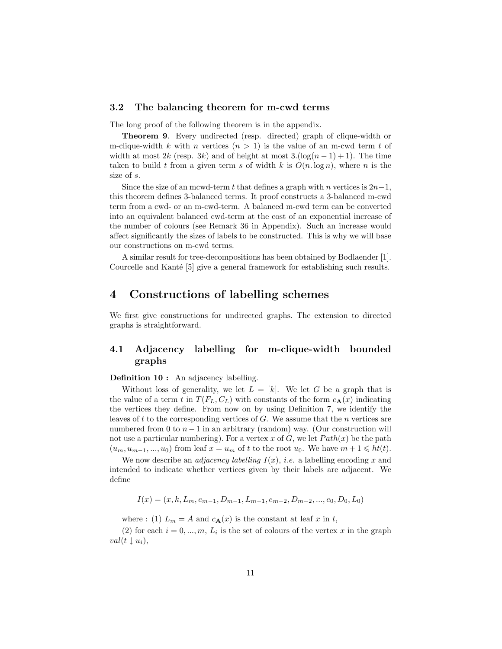## 3.2 The balancing theorem for m-cwd terms

The long proof of the following theorem is in the appendix.

Theorem 9. Every undirected (resp. directed) graph of clique-width or m-clique-width k with n vertices  $(n > 1)$  is the value of an m-cwd term t of width at most 2k (resp. 3k) and of height at most  $3.(\log(n-1)+1)$ . The time taken to build t from a given term s of width k is  $O(n \log n)$ , where n is the size of s.

Since the size of an mcwd-term t that defines a graph with n vertices is  $2n-1$ , this theorem defines 3-balanced terms. It proof constructs a 3-balanced m-cwd term from a cwd- or an m-cwd-term. A balanced m-cwd term can be converted into an equivalent balanced cwd-term at the cost of an exponential increase of the number of colours (see Remark 36 in Appendix). Such an increase would affect significantly the sizes of labels to be constructed. This is why we will base our constructions on m-cwd terms.

A similar result for tree-decompositions has been obtained by Bodlaender [1]. Courcelle and Kanté [5] give a general framework for establishing such results.

# 4 Constructions of labelling schemes

We first give constructions for undirected graphs. The extension to directed graphs is straightforward.

# 4.1 Adjacency labelling for m-clique-width bounded graphs

Definition 10 : An adjacency labelling.

Without loss of generality, we let  $L = [k]$ . We let G be a graph that is the value of a term t in  $T(F_L, C_L)$  with constants of the form  $c_{\mathbf{A}}(x)$  indicating the vertices they define. From now on by using Definition 7, we identify the leaves of  $t$  to the corresponding vertices of  $G$ . We assume that the  $n$  vertices are numbered from 0 to  $n-1$  in an arbitrary (random) way. (Our construction will not use a particular numbering). For a vertex x of G, we let  $Path(x)$  be the path  $(u_m, u_{m-1}, ..., u_0)$  from leaf  $x = u_m$  of t to the root  $u_0$ . We have  $m + 1 \leq h(t)$ .

We now describe an *adjacency labelling*  $I(x)$ , *i.e.* a labelling encoding x and intended to indicate whether vertices given by their labels are adjacent. We define

$$
I(x) = (x, k, L_m, e_{m-1}, D_{m-1}, L_{m-1}, e_{m-2}, D_{m-2}, ..., e_0, D_0, L_0)
$$

where : (1)  $L_m = A$  and  $c_{\mathbf{A}}(x)$  is the constant at leaf x in t,

(2) for each  $i = 0, ..., m, L_i$  is the set of colours of the vertex x in the graph  $val(t \downarrow u_i),$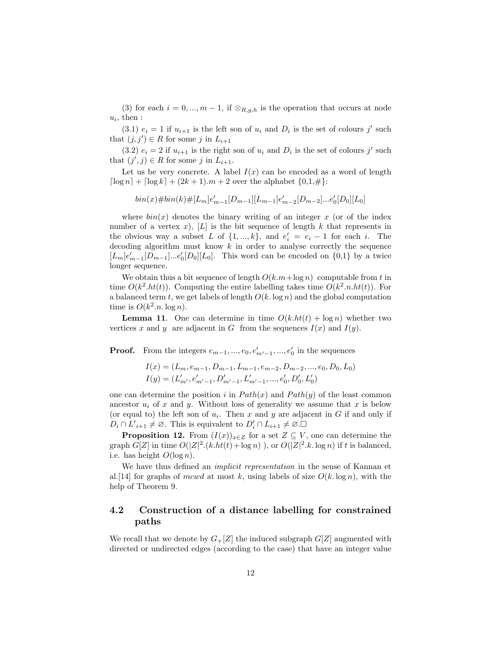(3) for each  $i = 0, ..., m - 1$ , if  $\otimes_{R,g,h}$  is the operation that occurs at node  $u_i$ , then :

(3.1)  $e_i = 1$  if  $u_{i+1}$  is the left son of  $u_i$  and  $D_i$  is the set of colours j' such that  $(j, j') \in R$  for some j in  $L_{i+1}$ 

(3.2)  $e_i = 2$  if  $u_{i+1}$  is the right son of  $u_i$  and  $D_i$  is the set of colours j' such that  $(j', j) \in R$  for some j in  $L_{i+1}$ .

Let us be very concrete. A label  $I(x)$  can be encoded as a word of length  $\lceil \log n \rceil + \lceil \log k \rceil + (2k + 1) \cdot m + 2$  over the alphabet  $\{0, 1, \# \}$ :

 $\binom{bin(x)\# bin(k)\#[L_m]e'_{m-1}[D_{m-1}][L_{m-1}]e'_{m-2}[D_{m-2}]\dots e'_{0}[D_0][L_0]}$ 

where  $bin(x)$  denotes the binary writing of an integer x (or of the index number of a vertex x), [L] is the bit sequence of length k that represents in the obvious way a subset L of  $\{1, ..., k\}$ , and  $e'_i = e_i - 1$  for each i. The decoding algorithm must know  $k$  in order to analyse correctly the sequence  $[L_m]e'_{m-1}[D_{m-1}]\dots e'_{0}[D_0][L_0].$  This word can be encoded on  $\{0,1\}$  by a twice longer sequence.

We obtain thus a bit sequence of length  $O(k.m + \log n)$  computable from t in time  $O(k^2.h t(t))$ . Computing the entire labelling takes time  $O(k^2.n.h t(t))$ . For a balanced term t, we get labels of length  $O(k \log n)$  and the global computation time is  $O(k^2.n.\log n)$ .

**Lemma 11.** One can determine in time  $O(k.h t(t) + \log n)$  whether two vertices x and y are adjacent in G from the sequences  $I(x)$  and  $I(y)$ .

**Proof.** From the integers  $e_{m-1},...,e_0,e'_{m'-1},...,e'_0$  in the sequences

$$
I(x) = (L_m, e_{m-1}, D_{m-1}, L_{m-1}, e_{m-2}, D_{m-2}, ..., e_0, D_0, L_0)
$$
  

$$
I(y) = (L'_{m'}, e'_{m'-1}, D'_{m'-1}, L'_{m'-1}, ..., e'_0, D'_0, L'_0)
$$

one can determine the position i in  $Path(x)$  and  $Path(y)$  of the least common ancestor  $u_i$  of x and y. Without loss of generality we assume that x is below (or equal to) the left son of  $u_i$ . Then x and y are adjacent in G if and only if  $D_i \cap L'_{i+1} \neq \emptyset$ . This is equivalent to  $D'_i \cap L_{i+1} \neq \emptyset$ .

**Proposition 12.** From  $(I(x))_{x\in\mathbb{Z}}$  for a set  $\mathbb{Z}\subseteq V$ , one can determine the graph  $G[Z]$  in time  $O(|Z|^2.(k.h t(t) + \log n))$ , or  $O(|Z|^2.k. \log n)$  if t is balanced, i.e. has height  $O(\log n)$ .

We have thus defined an *implicit representation* in the sense of Kannan et al. [14] for graphs of mcwd at most k, using labels of size  $O(k \log n)$ , with the help of Theorem 9.

# 4.2 Construction of a distance labelling for constrained paths

We recall that we denote by  $G_{+}[Z]$  the induced subgraph  $G[Z]$  augmented with directed or undirected edges (according to the case) that have an integer value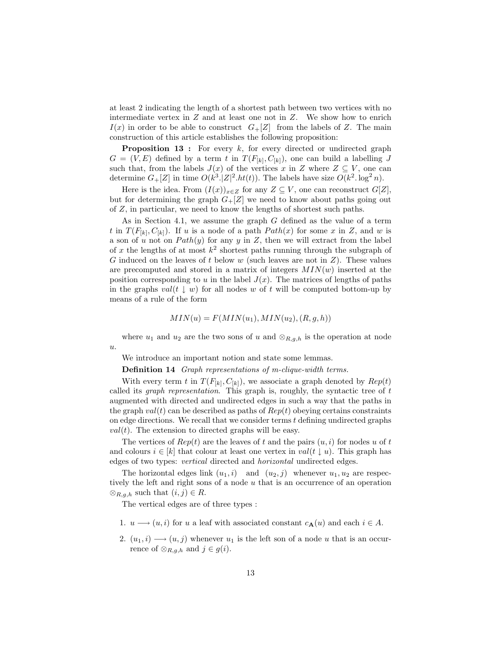at least 2 indicating the length of a shortest path between two vertices with no intermediate vertex in  $Z$  and at least one not in  $Z$ . We show how to enrich  $I(x)$  in order to be able to construct  $G+[Z]$  from the labels of Z. The main construction of this article establishes the following proposition:

**Proposition 13 :** For every  $k$ , for every directed or undirected graph  $G = (V, E)$  defined by a term t in  $T(F_{[k]}, C_{[k]})$ , one can build a labelling J such that, from the labels  $J(x)$  of the vertices x in Z where  $Z \subseteq V$ , one can determine  $G_{+}[Z]$  in time  $O(k^3 \cdot |Z|^2 \cdot ht(t))$ . The labels have size  $O(k^2 \cdot \log^2 n)$ .

Here is the idea. From  $(I(x))_{x\in Z}$  for any  $Z\subseteq V$ , one can reconstruct  $G[Z]$ , but for determining the graph  $G_{+}[Z]$  we need to know about paths going out of Z, in particular, we need to know the lengths of shortest such paths.

As in Section 4.1, we assume the graph G defined as the value of a term t in  $T(F_{[k]}, C_{[k]})$ . If u is a node of a path  $Path(x)$  for some x in Z, and w is a son of u not on  $Path(y)$  for any y in Z, then we will extract from the label of x the lengths of at most  $k^2$  shortest paths running through the subgraph of G induced on the leaves of t below  $w$  (such leaves are not in  $Z$ ). These values are precomputed and stored in a matrix of integers  $MIN(w)$  inserted at the position corresponding to u in the label  $J(x)$ . The matrices of lengths of paths in the graphs  $val(t \mid w)$  for all nodes w of t will be computed bottom-up by means of a rule of the form

$$
MIN(u) = F(MIN(u1), MIN(u2), (R, g, h))
$$

where  $u_1$  and  $u_2$  are the two sons of u and  $\otimes_{R,q,h}$  is the operation at node  $\boldsymbol{u}.$ 

We introduce an important notion and state some lemmas.

Definition 14 Graph representations of m-clique-width terms.

With every term t in  $T(F_{[k]}, C_{[k]})$ , we associate a graph denoted by  $Rep(t)$ called its graph representation. This graph is, roughly, the syntactic tree of t augmented with directed and undirected edges in such a way that the paths in the graph  $val(t)$  can be described as paths of  $Rep(t)$  obeying certains constraints on edge directions. We recall that we consider terms  $t$  defining undirected graphs  $val(t)$ . The extension to directed graphs will be easy.

The vertices of  $Rep(t)$  are the leaves of t and the pairs  $(u, i)$  for nodes u of t and colours  $i \in [k]$  that colour at least one vertex in val $(t \mid u)$ . This graph has edges of two types: vertical directed and horizontal undirected edges.

The horizontal edges link  $(u_1, i)$  and  $(u_2, j)$  whenever  $u_1, u_2$  are respectively the left and right sons of a node  $u$  that is an occurrence of an operation  $\otimes_{R,g,h}$  such that  $(i,j) \in R$ .

The vertical edges are of three types :

- 1.  $u \longrightarrow (u, i)$  for u a leaf with associated constant  $c_{\mathbf{A}}(u)$  and each  $i \in A$ .
- 2.  $(u_1, i) \longrightarrow (u, j)$  whenever  $u_1$  is the left son of a node u that is an occurrence of  $\otimes_{R,g,h}$  and  $j \in g(i)$ .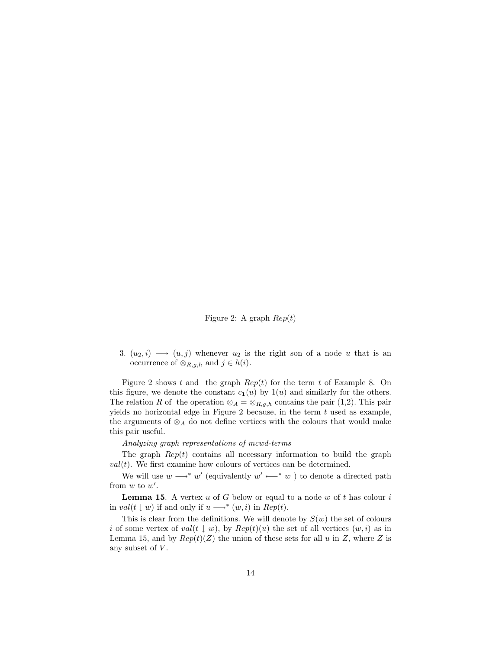Figure 2: A graph  $Rep(t)$ 

3.  $(u_2, i) \longrightarrow (u, j)$  whenever  $u_2$  is the right son of a node u that is an occurrence of  $\otimes_{R,g,h}$  and  $j \in h(i)$ .

Figure 2 shows t and the graph  $Rep(t)$  for the term t of Example 8. On this figure, we denote the constant  $c_1(u)$  by  $1(u)$  and similarly for the others. The relation R of the operation  $\otimes_A = \otimes_{R,g,h}$  contains the pair (1,2). This pair yields no horizontal edge in Figure 2 because, in the term  $t$  used as example, the arguments of  $\otimes_A$  do not define vertices with the colours that would make this pair useful.

#### Analyzing graph representations of mcwd-terms

The graph  $Rep(t)$  contains all necessary information to build the graph  $val(t)$ . We first examine how colours of vertices can be determined.

We will use  $w \longrightarrow^* w'$  (equivalently  $w' \longleftarrow^* w$ ) to denote a directed path from  $w$  to  $w'$ .

**Lemma 15.** A vertex  $u$  of  $G$  below or equal to a node  $w$  of  $t$  has colour  $i$ in val(t  $\downarrow$  w) if and only if  $u \rightarrow^* (w, i)$  in  $Rep(t)$ .

This is clear from the definitions. We will denote by  $S(w)$  the set of colours i of some vertex of val(t  $\downarrow w$ ), by  $Rep(t)(u)$  the set of all vertices  $(w, i)$  as in Lemma 15, and by  $Rep(t)(Z)$  the union of these sets for all u in Z, where Z is any subset of  $V$ .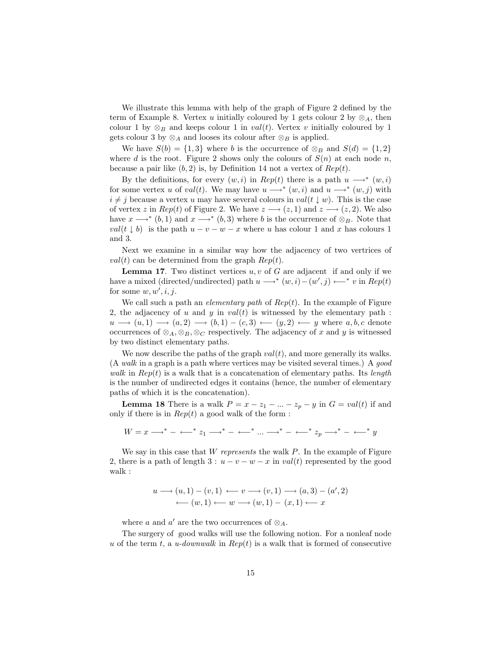We illustrate this lemma with help of the graph of Figure 2 defined by the term of Example 8. Vertex u initially coloured by 1 gets colour 2 by  $\otimes_A$ , then colour 1 by  $\otimes_B$  and keeps colour 1 in val(t). Vertex v initially coloured by 1 gets colour 3 by  $\otimes_A$  and looses its colour after  $\otimes_B$  is applied.

We have  $S(b) = \{1,3\}$  where b is the occurrence of  $\otimes_B$  and  $S(d) = \{1,2\}$ where d is the root. Figure 2 shows only the colours of  $S(n)$  at each node n, because a pair like  $(b, 2)$  is, by Definition 14 not a vertex of  $Rep(t)$ .

By the definitions, for every  $(w, i)$  in  $Rep(t)$  there is a path  $u \longrightarrow^* (w, i)$ for some vertex u of val(t). We may have  $u \longrightarrow^* (w, i)$  and  $u \longrightarrow^* (w, j)$  with  $i \neq j$  because a vertex u may have several colours in val(t  $\downarrow w$ ). This is the case of vertex z in  $Rep(t)$  of Figure 2. We have  $z \rightarrow (z, 1)$  and  $z \rightarrow (z, 2)$ . We also have  $x \longrightarrow^* (b, 1)$  and  $x \longrightarrow^* (b, 3)$  where b is the occurrence of  $\otimes_B$ . Note that  $val(t \downarrow b)$  is the path  $u - v - w - x$  where u has colour 1 and x has colours 1 and 3.

Next we examine in a similar way how the adjacency of two vertrices of  $val(t)$  can be determined from the graph  $Rep(t)$ .

**Lemma 17.** Two distinct vertices  $u, v$  of G are adjacent if and only if we have a mixed (directed/undirected) path  $u \rightarrow^* (w, i) - (w', j) \longleftarrow^* v$  in  $Rep(t)$ for some  $w, w', i, j$ .

We call such a path an *elementary path* of  $Rep(t)$ . In the example of Figure 2, the adjacency of u and y in  $val(t)$  is witnessed by the elementary path :  $u \rightarrow (u, 1) \rightarrow (a, 2) \rightarrow (b, 1) - (c, 3) \leftarrow (y, 2) \leftarrow y$  where  $a, b, c$  denote occurrences of  $\otimes_A, \otimes_B, \otimes_C$  respectively. The adjacency of x and y is witnessed by two distinct elementary paths.

We now describe the paths of the graph  $val(t)$ , and more generally its walks. (A walk in a graph is a path where vertices may be visited several times.) A good walk in  $Rep(t)$  is a walk that is a concatenation of elementary paths. Its length is the number of undirected edges it contains (hence, the number of elementary paths of which it is the concatenation).

**Lemma 18** There is a walk  $P = x - z_1 - ... - z_p - y$  in  $G = val(t)$  if and only if there is in  $Rep(t)$  a good walk of the form :

 $W = x \longrightarrow^* - \longleftarrow^* z_1 \longrightarrow^* - \longleftarrow^* \dots \longrightarrow^* - \longleftarrow^* z_p \longrightarrow^* - \longleftarrow^* y$ 

We say in this case that W represents the walk  $P$ . In the example of Figure 2, there is a path of length  $3: u - v - w - x$  in val(t) represented by the good walk :

$$
u \longrightarrow (u, 1) - (v, 1) \longleftarrow v \longrightarrow (v, 1) \longrightarrow (a, 3) - (a', 2)
$$
  
 
$$
\longleftarrow (w, 1) \longleftarrow w \longrightarrow (w, 1) - (x, 1) \longleftarrow x
$$

where a and a' are the two occurrences of  $\otimes_A$ .

The surgery of good walks will use the following notion. For a nonleaf node u of the term t, a u-downwalk in  $Rep(t)$  is a walk that is formed of consecutive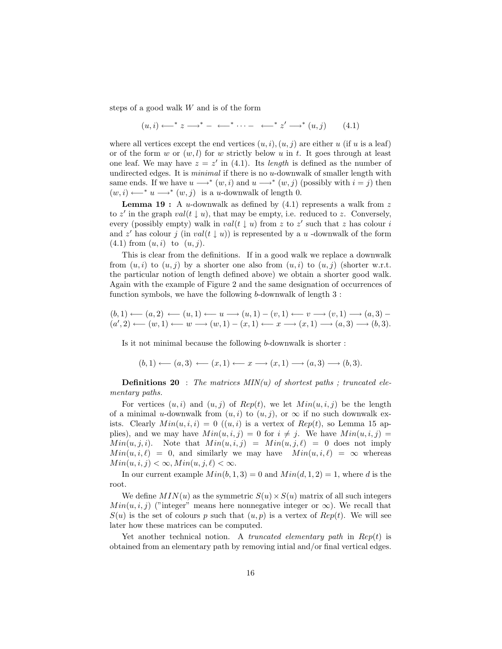steps of a good walk W and is of the form

$$
(u,i) \longleftrightarrow^* z \longrightarrow^* - \longleftarrow^* \cdots - \longleftarrow^* z' \longrightarrow^* (u,j) \qquad (4.1)
$$

where all vertices except the end vertices  $(u, i), (u, j)$  are either u (if u is a leaf) or of the form w or  $(w, l)$  for w strictly below u in t. It goes through at least one leaf. We may have  $z = z'$  in (4.1). Its *length* is defined as the number of undirected edges. It is *minimal* if there is no u-downwalk of smaller length with same ends. If we have  $u \longrightarrow^* (w, i)$  and  $u \longrightarrow^* (w, j)$  (possibly with  $i = j$ ) then  $(w, i) \longleftarrow^* u \longrightarrow^* (w, j)$  is a *u*-downwalk of length 0.

**Lemma 19 :** A u-downwalk as defined by  $(4.1)$  represents a walk from z to z' in the graph  $val(t \downarrow u)$ , that may be empty, i.e. reduced to z. Conversely, every (possibly empty) walk in  $val(t \downarrow u)$  from z to z' such that z has colour i and z' has colour j (in val(t  $\downarrow u$ )) is represented by a u-downwalk of the form  $(4.1)$  from  $(u, i)$  to  $(u, j)$ .

This is clear from the definitions. If in a good walk we replace a downwalk from  $(u, i)$  to  $(u, j)$  by a shorter one also from  $(u, i)$  to  $(u, j)$  (shorter w.r.t. the particular notion of length defined above) we obtain a shorter good walk. Again with the example of Figure 2 and the same designation of occurrences of function symbols, we have the following b-downwalk of length 3 :

$$
(b,1) \longleftarrow (a,2) \longleftarrow (u,1) \longleftarrow u \longrightarrow (u,1) - (v,1) \longleftarrow v \longrightarrow (v,1) \longrightarrow (a,3) - (a',2) \longleftarrow (w,1) \longleftarrow w \longrightarrow (w,1) - (x,1) \longleftarrow x \longrightarrow (x,1) \longrightarrow (a,3) \longrightarrow (b,3).
$$

Is it not minimal because the following b-downwalk is shorter :

$$
(b,1)\longleftarrow(a,3)\longleftarrow(x,1)\longleftarrow x\longrightarrow(x,1)\longrightarrow(a,3)\longrightarrow(b,3).
$$

**Definitions 20** : The matrices  $MIN(u)$  of shortest paths ; truncated elementary paths.

For vertices  $(u, i)$  and  $(u, j)$  of  $Rep(t)$ , we let  $Min(u, i, j)$  be the length of a minimal u-downwalk from  $(u, i)$  to  $(u, j)$ , or  $\infty$  if no such downwalk exists. Clearly  $Min(u, i, i) = 0$   $((u, i)$  is a vertex of  $Rep(t)$ , so Lemma 15 applies), and we may have  $Min(u, i, j) = 0$  for  $i \neq j$ . We have  $Min(u, i, j) =$  $Min(u, j, i)$ . Note that  $Min(u, i, j) = Min(u, j, \ell) = 0$  does not imply  $Min(u, i, \ell) = 0$ , and similarly we may have  $Min(u, i, \ell) = \infty$  whereas  $Min(u, i, j) < \infty, Min(u, j, \ell) < \infty.$ 

In our current example  $Min(b, 1, 3) = 0$  and  $Min(d, 1, 2) = 1$ , where d is the root.

We define  $MIN(u)$  as the symmetric  $S(u) \times S(u)$  matrix of all such integers  $Min(u, i, j)$  ("integer" means here nonnegative integer or  $\infty$ ). We recall that  $S(u)$  is the set of colours p such that  $(u, p)$  is a vertex of  $Rep(t)$ . We will see later how these matrices can be computed.

Yet another technical notion. A truncated elementary path in  $Rep(t)$  is obtained from an elementary path by removing intial and/or final vertical edges.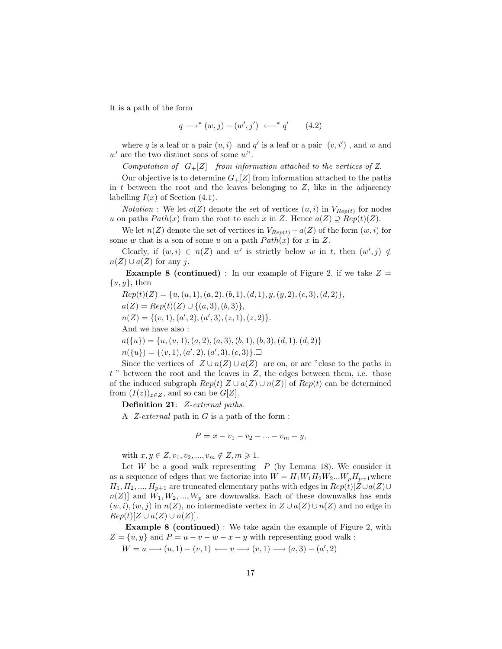It is a path of the form

$$
q \longrightarrow^* (w, j) - (w', j') \longleftarrow^* q' \qquad (4.2)
$$

where q is a leaf or a pair  $(u, i)$  and q' is a leaf or a pair  $(v, i')$ , and w and  $w'$  are the two distinct sons of some  $w$ ".

Computation of  $G_{+}[Z]$  from information attached to the vertices of Z.

Our objective is to determine  $G_{+}[Z]$  from information attached to the paths in  $t$  between the root and the leaves belonging to  $Z$ , like in the adjacency labelling  $I(x)$  of Section (4.1).

*Notation* : We let  $a(Z)$  denote the set of vertices  $(u, i)$  in  $V_{Rep(t)}$  for nodes u on paths  $Path(x)$  from the root to each x in Z. Hence  $a(Z) \supseteq Rep(t)(Z)$ .

We let  $n(Z)$  denote the set of vertices in  $V_{Rep(t)} - a(Z)$  of the form  $(w, i)$  for some w that is a son of some u on a path  $Path(x)$  for x in Z.

Clearly, if  $(w, i) \in n(Z)$  and w' is strictly below w in t, then  $(w', j) \notin$  $n(Z) \cup a(Z)$  for any j.

**Example 8 (continued)** : In our example of Figure 2, if we take  $Z =$  $\{u, y\}$ , then

 $Rep(t)(Z) = \{u, (u, 1), (a, 2), (b, 1), (d, 1), y, (y, 2), (c, 3), (d, 2)\},\$  $a(Z) = Rep(t)(Z) \cup \{(a, 3), (b, 3)\},\$  $n(Z) = \{(v, 1), (a', 2), (a', 3), (z, 1), (z, 2)\}.$ And we have also :  $a({u}) = {u, (u, 1), (a, 2), (a, 3), (b, 1), (b, 3), (d, 1), (d, 2)}$  $n({u}) = {(v, 1), (a', 2), (a', 3), (c, 3)}.$ 

Since the vertices of  $Z \cup n(Z) \cup a(Z)$  are on, or are "close to the paths in  $t$  " between the root and the leaves in  $Z$ , the edges between them, i.e. those of the induced subgraph  $Rep(t)[Z \cup a(Z) \cup n(Z)]$  of  $Rep(t)$  can be determined from  $(I(z))_{z\in Z}$ , and so can be  $G[Z]$ .

Definition 21: Z-external paths.

A Z-external path in G is a path of the form :

$$
P = x - v_1 - v_2 - \dots - v_m - y,
$$

with  $x, y \in Z, v_1, v_2, ..., v_m \notin Z, m \geq 1$ .

Let  $W$  be a good walk representing  $P$  (by Lemma 18). We consider it as a sequence of edges that we factorize into  $W = H_1 W_1 H_2 W_2 ... W_p H_{p+1}$  where  $H_1, H_2, ..., H_{p+1}$  are truncated elementary paths with edges in  $Rep(t)[Z\cup a(Z)\cup$  $n(Z)$ ] and  $W_1, W_2, ..., W_p$  are downwalks. Each of these downwalks has ends  $(w, i), (w, j)$  in  $n(Z)$ , no intermediate vertex in  $Z \cup a(Z) \cup n(Z)$  and no edge in  $Rep(t)[Z \cup a(Z) \cup n(Z)].$ 

Example 8 (continued) : We take again the example of Figure 2, with  $Z = \{u, y\}$  and  $P = u - v - w - x - y$  with representing good walk :

$$
W = u \longrightarrow (u, 1) - (v, 1) \longleftarrow v \longrightarrow (v, 1) \longrightarrow (a, 3) - (a', 2)
$$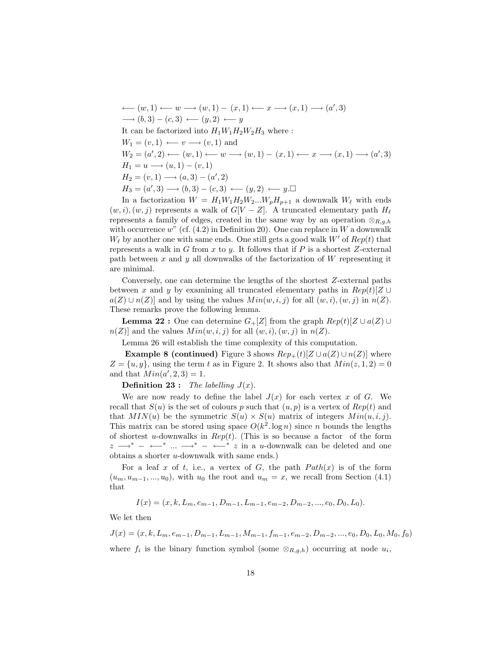$\longleftarrow (w, 1) \longleftarrow w \longrightarrow (w, 1) - (x, 1) \longleftarrow x \longrightarrow (x, 1) \longrightarrow (a', 3)$  $\longrightarrow$   $(b, 3) - (c, 3) \longleftarrow (y, 2) \longleftarrow y$ It can be factorized into  $H_1W_1H_2W_2H_3$  where :  $W_1 = (v, 1) \longleftarrow v \longrightarrow (v, 1)$  and  $W_2 = (a', 2) \longleftarrow (w, 1) \longleftarrow w \longrightarrow (w, 1) - (x, 1) \longleftarrow x \longrightarrow (x, 1) \longrightarrow (a', 3)$  $H_1 = u \longrightarrow (u, 1) - (v, 1)$  $H_2 = (v, 1) \longrightarrow (a, 3) - (a', 2)$  $H_3 = (a', 3) \longrightarrow (b, 3) - (c, 3) \longleftarrow (y, 2) \longleftarrow y. \square$ 

In a factorization  $W = H_1 W_1 H_2 W_2 ... W_p H_{p+1}$  a downwalk  $W_\ell$  with ends  $(w, i), (w, j)$  represents a walk of  $G[V - Z]$ . A truncated elementary path  $H_{\ell}$ represents a family of edges, created in the same way by an operation  $\otimes_{R,a,h}$ with occurrence  $w^r$  (cf. (4.2) in Definition 20). One can replace in W a downwalk  $W_{\ell}$  by another one with same ends. One still gets a good walk W' of  $Rep(t)$  that represents a walk in G from x to y. It follows that if P is a shortest Z-external path between x and y all downwalks of the factorization of  $W$  representing it are minimal.

Conversely, one can determine the lengths of the shortest Z-external paths between x and y by examining all truncated elementary paths in  $Rep(t)[Z]$  $a(Z) \cup n(Z)$  and by using the values  $Min(w, i, j)$  for all  $(w, i), (w, j)$  in  $n(Z)$ . These remarks prove the following lemma.

**Lemma 22 :** One can determine  $G_{+}[Z]$  from the graph  $Rep(t)[Z \cup a(Z) \cup$  $n(Z)$  and the values  $Min(w, i, j)$  for all  $(w, i), (w, j)$  in  $n(Z)$ .

Lemma 26 will establish the time complexity of this computation.

**Example 8 (continued)** Figure 3 shows  $Rep_+(t)[Z \cup a(Z) \cup n(Z)]$  where  $Z = \{u, y\}$ , using the term t as in Figure 2. It shows also that  $Min(z, 1, 2) = 0$ and that  $Min(a', 2, 3) = 1$ .

**Definition 23 :** The labelling  $J(x)$ .

We are now ready to define the label  $J(x)$  for each vertex x of G. We recall that  $S(u)$  is the set of colours p such that  $(u, p)$  is a vertex of  $Rep(t)$  and that  $MIN(u)$  be the symmetric  $S(u) \times S(u)$  matrix of integers  $Min(u, i, j)$ . This matrix can be stored using space  $O(k^2 \log n)$  since n bounds the lengths of shortest u-downwalks in  $Rep(t)$ . (This is so because a factor of the form  $z \longrightarrow^*$  – ← \* ...  $\longrightarrow^*$  – ← \* z in a u-downwalk can be deleted and one obtains a shorter u-downwalk with same ends.)

For a leaf x of t, i.e., a vertex of G, the path  $Path(x)$  is of the form  $(u_m, u_{m-1}, ..., u_0)$ , with  $u_0$  the root and  $u_m = x$ , we recall from Section (4.1) that

$$
I(x) = (x, k, L_m, e_{m-1}, D_{m-1}, L_{m-1}, e_{m-2}, D_{m-2}, ..., e_0, D_0, L_0).
$$

We let then

$$
J(x) = (x, k, L_m, e_{m-1}, D_{m-1}, L_{m-1}, M_{m-1}, f_{m-1}, e_{m-2}, D_{m-2}, \dots, e_0, D_0, L_0, M_0, f_0)
$$
  
where  $f_i$  is the binary function symbol (some  $\otimes_{R,g,h}$ ) occurring at node  $u_i$ ,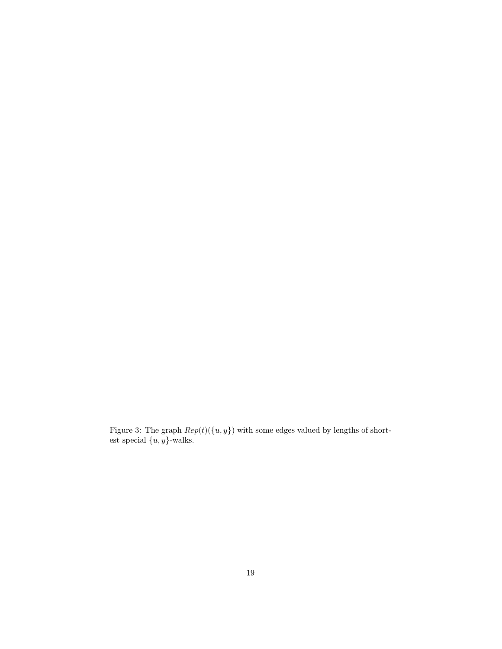Figure 3: The graph  $Rep(t)(\{u, y\})$  with some edges valued by lengths of shortest special  $\{u, y\}$ -walks.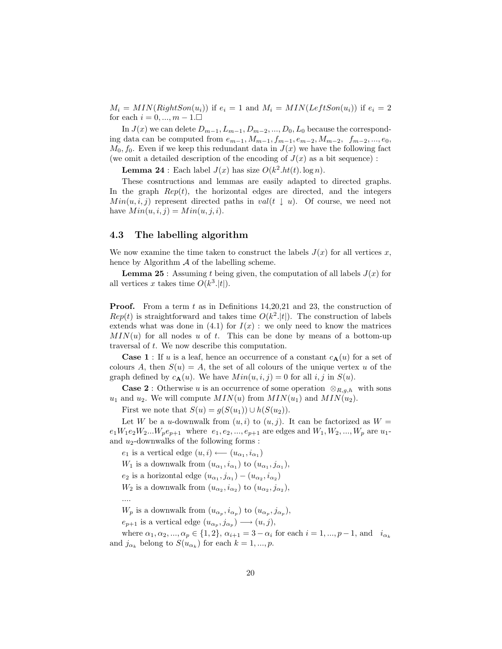$M_i = MIN(RightSon(u_i))$  if  $e_i = 1$  and  $M_i = MIN(LeftSon(u_i))$  if  $e_i = 2$ for each  $i = 0, ..., m - 1$ .

In  $J(x)$  we can delete  $D_{m-1}, L_{m-1}, D_{m-2},..., D_0, L_0$  because the corresponding data can be computed from  $e_{m-1}, M_{m-1}, f_{m-1}, e_{m-2}, M_{m-2}, f_{m-2}, ..., e_0$ ,  $M_0, f_0$ . Even if we keep this redundant data in  $J(x)$  we have the following fact (we omit a detailed description of the encoding of  $J(x)$  as a bit sequence) :

**Lemma 24**: Each label  $J(x)$  has size  $O(k^2.h(t) \cdot \log n)$ .

These cosntructions and lemmas are easily adapted to directed graphs. In the graph  $Rep(t)$ , the horizontal edges are directed, and the integers  $Min(u, i, j)$  represent directed paths in val $(t \downarrow u)$ . Of course, we need not have  $Min(u, i, j) = Min(u, j, i)$ .

## 4.3 The labelling algorithm

We now examine the time taken to construct the labels  $J(x)$  for all vertices x, hence by Algorithm  $A$  of the labelling scheme.

**Lemma 25**: Assuming t being given, the computation of all labels  $J(x)$  for all vertices x takes time  $O(k^3.|t|)$ .

**Proof.** From a term t as in Definitions 14,20,21 and 23, the construction of  $Rep(t)$  is straightforward and takes time  $O(k^2.|t|)$ . The construction of labels extends what was done in  $(4.1)$  for  $I(x)$ : we only need to know the matrices  $MIN(u)$  for all nodes u of t. This can be done by means of a bottom-up traversal of t. We now describe this computation.

**Case 1**: If u is a leaf, hence an occurrence of a constant  $c_{\mathbf{A}}(u)$  for a set of colours A, then  $S(u) = A$ , the set of all colours of the unique vertex u of the graph defined by  $c_{\mathbf{A}}(u)$ . We have  $Min(u, i, j) = 0$  for all  $i, j$  in  $S(u)$ .

**Case 2** : Otherwise u is an occurrence of some operation  $\otimes_{R,q,h}$  with sons  $u_1$  and  $u_2$ . We will compute  $MIN(u)$  from  $MIN(u_1)$  and  $MIN(u_2)$ .

First we note that  $S(u) = g(S(u_1)) \cup h(S(u_2)).$ 

Let W be a u-downwalk from  $(u, i)$  to  $(u, j)$ . It can be factorized as  $W =$  $e_1W_1e_2W_2...W_pe_{p+1}$  where  $e_1, e_2, ..., e_{p+1}$  are edges and  $W_1, W_2, ..., W_p$  are  $u_1$ and  $u_2$ -downwalks of the following forms :

 $e_1$  is a vertical edge  $(u, i) \longleftarrow (u_{\alpha_1}, i_{\alpha_1})$  $W_1$  is a downwalk from  $(u_{\alpha_1}, i_{\alpha_1})$  to  $(u_{\alpha_1}, j_{\alpha_1}),$  $e_2$  is a horizontal edge  $(u_{\alpha_1}, j_{\alpha_1}) - (u_{\alpha_2}, i_{\alpha_2})$  $W_2$  is a downwalk from  $(u_{\alpha_2}, i_{\alpha_2})$  to  $(u_{\alpha_2}, j_{\alpha_2})$ , ....

 $W_p$  is a downwalk from  $(u_{\alpha_p}, i_{\alpha_p})$  to  $(u_{\alpha_p}, j_{\alpha_p}),$ 

 $e_{p+1}$  is a vertical edge  $(u_{\alpha_p}, j_{\alpha_p}) \longrightarrow (u, j),$ 

where  $\alpha_1, \alpha_2, ..., \alpha_p \in \{1, 2\}, \alpha_{i+1} = 3 - \alpha_i$  for each  $i = 1, ..., p-1$ , and  $i_{\alpha_k}$ and  $j_{\alpha_k}$  belong to  $S(u_{\alpha_k})$  for each  $k = 1, ..., p$ .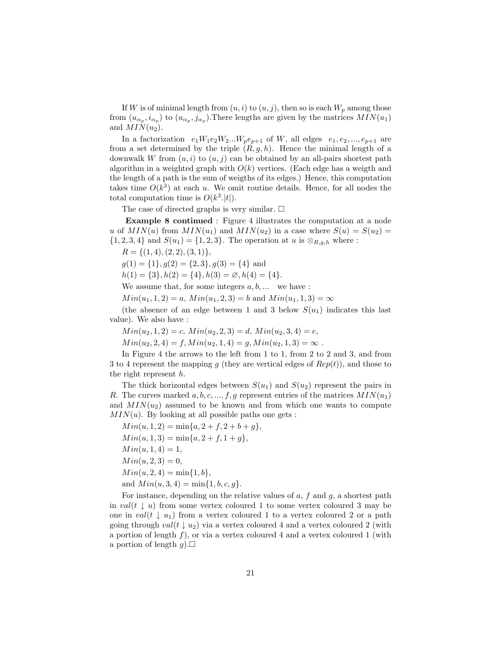If W is of minimal length from  $(u, i)$  to  $(u, j)$ , then so is each  $W_p$  among those from  $(u_{\alpha_p}, i_{\alpha_p})$  to  $(u_{\alpha_p}, j_{\alpha_p})$ . There lengths are given by the matrices  $MIN(u_1)$ and  $MIN(u_2)$ .

In a factorization  $e_1W_1e_2W_2...W_pe_{p+1}$  of W, all edges  $e_1, e_2, ..., e_{p+1}$  are from a set determined by the triple  $(R, g, h)$ . Hence the minimal length of a downwalk W from  $(u, i)$  to  $(u, j)$  can be obtained by an all-pairs shortest path algorithm in a weighted graph with  $O(k)$  vertices. (Each edge has a weigth and the length of a path is the sum of weigths of its edges.) Hence, this computation takes time  $O(k^3)$  at each u. We omit routine details. Hence, for all nodes the total computation time is  $O(k^3.|t|)$ .

The case of directed graphs is very similar.  $\square$ 

Example 8 continued : Figure 4 illustrates the computation at a node u of  $MIN(u)$  from  $MIN(u_1)$  and  $MIN(u_2)$  in a case where  $S(u) = S(u_2)$  $\{1, 2, 3, 4\}$  and  $S(u_1) = \{1, 2, 3\}$ . The operation at u is  $\otimes_{R,g,h}$  where :

 $R = \{(1, 4), (2, 2), (3, 1)\},\$ 

 $g(1) = \{1\}, g(2) = \{2, 3\}, g(3) = \{4\}$  and

 $h(1) = \{3\}, h(2) = \{4\}, h(3) = \emptyset, h(4) = \{4\}.$ 

We assume that, for some integers  $a, b, \ldots$  we have :

 $Min(u_1, 1, 2) = a, Min(u_1, 2, 3) = b$  and  $Min(u_1, 1, 3) = \infty$ 

(the absence of an edge between 1 and 3 below  $S(u_1)$  indicates this last value). We also have :

 $Min(u_2, 1, 2) = c$ ,  $Min(u_2, 2, 3) = d$ ,  $Min(u_2, 3, 4) = e$ ,

 $Min(u_2, 2, 4) = f, Min(u_2, 1, 4) = g, Min(u_2, 1, 3) = \infty$ .

In Figure 4 the arrows to the left from 1 to 1, from 2 to 2 and 3, and from 3 to 4 represent the mapping g (they are vertical edges of  $Rep(t)$ ), and those to the right represent h.

The thick horizontal edges between  $S(u_1)$  and  $S(u_2)$  represent the pairs in R. The curves marked  $a, b, c, ..., f, g$  represent entries of the matrices  $MIN(u_1)$ and  $MIN(u_2)$  assumed to be known and from which one wants to compute  $MIN(u)$ . By looking at all possible paths one gets :

 $Min(u, 1, 2) = min\{a, 2 + f, 2 + b + g\},\$  $Min(u, 1, 3) = min\{a, 2 + f, 1 + g\},\$  $Min(u, 1, 4) = 1,$  $Min(u, 2, 3) = 0,$  $Min(u, 2, 4) = min{1, b},$ and  $Min(u, 3, 4) = min\{1, b, c, g\}.$ 

For instance, depending on the relative values of  $a, f$  and  $g$ , a shortest path in  $val(t \downarrow u)$  from some vertex coloured 1 to some vertex coloured 3 may be one in  $val(t \downarrow u_1)$  from a vertex coloured 1 to a vertex coloured 2 or a path going through  $val(t \downarrow u_2)$  via a vertex coloured 4 and a vertex coloured 2 (with a portion of length  $f$ ), or via a vertex coloured 4 and a vertex coloured 1 (with a portion of length  $g$ ).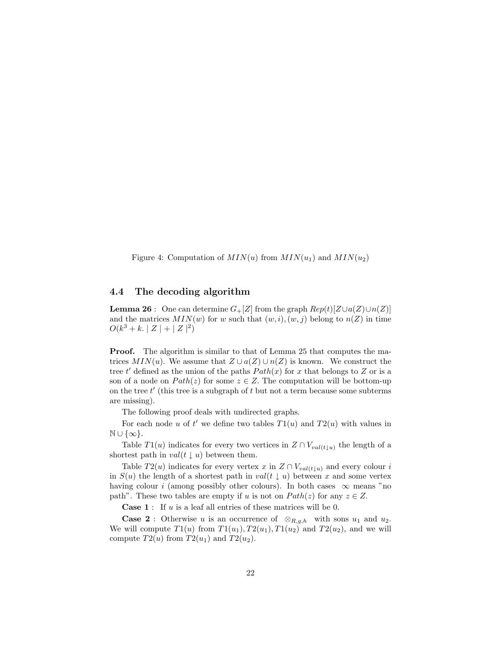Figure 4: Computation of  $MIN(u)$  from  $MIN(u_1)$  and  $MIN(u_2)$ 

# 4.4 The decoding algorithm

**Lemma 26** : One can determine  $G_{+}[Z]$  from the graph  $Rep(t)[Z \cup a(Z) \cup n(Z)]$ and the matrices  $MIN(w)$  for w such that  $(w, i), (w, j)$  belong to  $n(Z)$  in time  $O(k^3 + k. |Z| + |Z|^2)$ 

**Proof.** The algorithm is similar to that of Lemma 25 that computes the matrices  $MIN(u)$ . We assume that  $Z \cup a(Z) \cup n(Z)$  is known. We construct the tree t' defined as the union of the paths  $Path(x)$  for x that belongs to Z or is a son of a node on  $Path(z)$  for some  $z \in Z$ . The computation will be bottom-up on the tree  $t'$  (this tree is a subgraph of  $t$  but not a term because some subterms are missing).

The following proof deals with undirected graphs.

For each node u of t' we define two tables  $T1(u)$  and  $T2(u)$  with values in  $\mathbb{N} \cup \{\infty\}.$ 

Table  $T1(u)$  indicates for every two vertices in  $Z \cap V_{val(t\downarrow u)}$  the length of a shortest path in  $val(t \downarrow u)$  between them.

Table  $T2(u)$  indicates for every vertex x in  $Z \cap V_{val(t\downarrow u)}$  and every colour i in  $S(u)$  the length of a shortest path in  $val(t \downarrow u)$  between x and some vertex having colour *i* (among possibly other colours). In both cases  $\infty$  means "no path". These two tables are empty if u is not on  $Path(z)$  for any  $z \in Z$ .

**Case 1** : If  $u$  is a leaf all entries of these matrices will be 0.

**Case 2** : Otherwise u is an occurrence of  $\otimes_{R,g,h}$  with sons  $u_1$  and  $u_2$ . We will compute  $T1(u)$  from  $T1(u_1)$ ,  $T2(u_1)$ ,  $T1(u_2)$  and  $T2(u_2)$ , and we will compute  $T2(u)$  from  $T2(u_1)$  and  $T2(u_2)$ .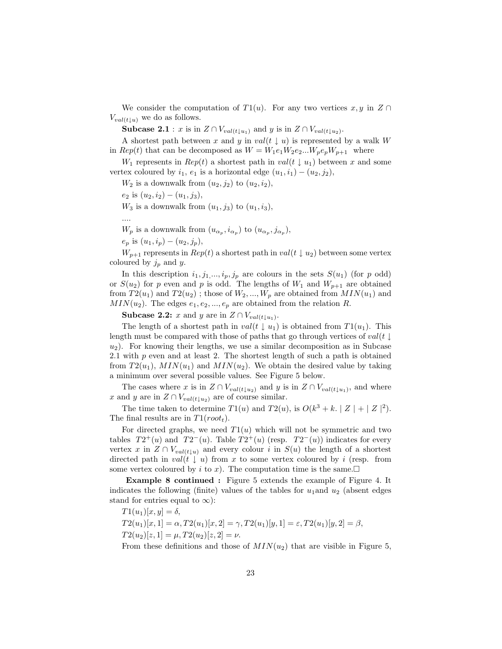We consider the computation of  $T1(u)$ . For any two vertices  $x, y$  in  $Z \cap$  $V_{val(t|u)}$  we do as follows.

**Subcase 2.1** : x is in  $Z \cap V_{val(t\downarrow u_1)}$  and y is in  $Z \cap V_{val(t\downarrow u_2)}$ .

A shortest path between x and y in val(t  $\downarrow u$ ) is represented by a walk W in  $Rep(t)$  that can be decomposed as  $W = W_1e_1W_2e_2...W_pe_pW_{p+1}$  where

 $W_1$  represents in  $Rep(t)$  a shortest path in  $val(t \downarrow u_1)$  between x and some vertex coloured by  $i_1, e_1$  is a horizontal edge  $(u_1, i_1) - (u_2, i_2)$ ,

 $W_2$  is a downwalk from  $(u_2, j_2)$  to  $(u_2, i_2)$ ,

 $e_2$  is  $(u_2, i_2) - (u_1, j_3)$ ,

 $W_3$  is a downwalk from  $(u_1, j_3)$  to  $(u_1, i_3)$ ,

....

 $W_p$  is a downwalk from  $(u_{\alpha_p}, i_{\alpha_p})$  to  $(u_{\alpha_p}, j_{\alpha_p}),$ 

 $e_p$  is  $(u_1, i_p) - (u_2, j_p)$ ,

 $W_{p+1}$  represents in  $Rep(t)$  a shortest path in  $val(t \downarrow u_2)$  between some vertex coloured by  $j_p$  and y.

In this description  $i_1, j_1, \ldots, i_p, j_p$  are colours in the sets  $S(u_1)$  (for p odd) or  $S(u_2)$  for p even and p is odd. The lengths of  $W_1$  and  $W_{p+1}$  are obtained from  $T2(u_1)$  and  $T2(u_2)$ ; those of  $W_2, ..., W_p$  are obtained from  $MIN(u_1)$  and  $MIN(u_2)$ . The edges  $e_1, e_2, ..., e_p$  are obtained from the relation R.

**Subcase 2.2:** x and y are in  $Z \cap V_{val(t \downarrow u_1)}$ .

The length of a shortest path in  $val(t \mid u_1)$  is obtained from  $T1(u_1)$ . This length must be compared with those of paths that go through vertices of  $val(t \downarrow$  $u_2$ ). For knowing their lengths, we use a similar decomposition as in Subcase 2.1 with p even and at least 2. The shortest length of such a path is obtained from  $T2(u_1)$ ,  $MIN(u_1)$  and  $MIN(u_2)$ . We obtain the desired value by taking a minimum over several possible values. See Figure 5 below.

The cases where x is in  $Z \cap V_{val(t|u_2)}$  and y is in  $Z \cap V_{val(t|u_1)}$ , and where x and y are in  $Z \cap V_{val(t|u_2)}$  are of course similar.

The time taken to determine  $T1(u)$  and  $T2(u)$ , is  $O(k^3 + k \mid Z \mid + \mid Z \mid^2)$ . The final results are in  $T1(root<sub>t</sub>)$ .

For directed graphs, we need  $T1(u)$  which will not be symmetric and two tables  $T2^+(u)$  and  $T2^-(u)$ . Table  $T2^+(u)$  (resp.  $T2^-(u)$ ) indicates for every vertex x in  $Z \cap V_{val(t\downarrow u)}$  and every colour i in  $S(u)$  the length of a shortest directed path in  $val(t \downarrow u)$  from x to some vertex coloured by i (resp. from some vertex coloured by i to x). The computation time is the same.

Example 8 continued : Figure 5 extends the example of Figure 4. It indicates the following (finite) values of the tables for  $u_1$  and  $u_2$  (absent edges stand for entries equal to  $\infty$ :

 $T1(u_1)[x, y] = \delta$ ,  $T2(u_1)[x, 1] = \alpha, T2(u_1)[x, 2] = \gamma, T2(u_1)[y, 1] = \varepsilon, T2(u_1)[y, 2] = \beta,$  $T2(u_2)[z, 1] = \mu, T2(u_2)[z, 2] = \nu.$ 

From these definitions and those of  $MIN(u_2)$  that are visible in Figure 5,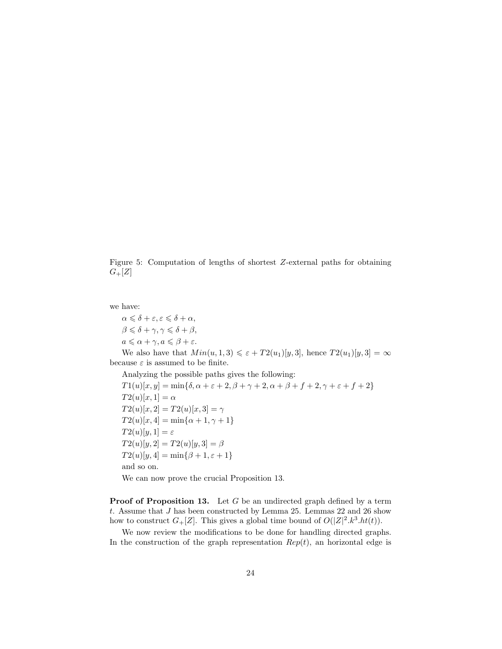Figure 5: Computation of lengths of shortest Z-external paths for obtaining  $G+[Z]$ 

we have:

 $\alpha \leq \delta + \varepsilon, \varepsilon \leq \delta + \alpha,$  $\beta \leqslant \delta + \gamma, \gamma \leqslant \delta + \beta,$  $a \leq \alpha + \gamma, a \leq \beta + \varepsilon.$ 

We also have that  $Min(u, 1, 3) \leq \varepsilon + T2(u_1)[y, 3]$ , hence  $T2(u_1)[y, 3] = \infty$ because  $\varepsilon$  is assumed to be finite.

Analyzing the possible paths gives the following:

 $T1(u)[x, y] = min{\delta, \alpha + \varepsilon + 2, \beta + \gamma + 2, \alpha + \beta + f + 2, \gamma + \varepsilon + f + 2}$  $T2(u)[x,1] = \alpha$  $T2(u)[x, 2] = T2(u)[x, 3] = \gamma$  $T2(u)[x, 4] = \min\{\alpha + 1, \gamma + 1\}$  $T2(u)[y,1] = \varepsilon$  $T2(u)[y, 2] = T2(u)[y, 3] = \beta$  $T2(u)[y, 4] = min\{\beta + 1, \varepsilon + 1\}$ and so on. We can now prove the crucial Proposition 13.

**Proof of Proposition 13.** Let G be an undirected graph defined by a term t. Assume that  $J$  has been constructed by Lemma 25. Lemmas 22 and 26 show how to construct  $G_{+}[Z]$ . This gives a global time bound of  $O(|Z|^2 \cdot k^3 \cdot ht(t))$ .

We now review the modifications to be done for handling directed graphs. In the construction of the graph representation  $Rep(t)$ , an horizontal edge is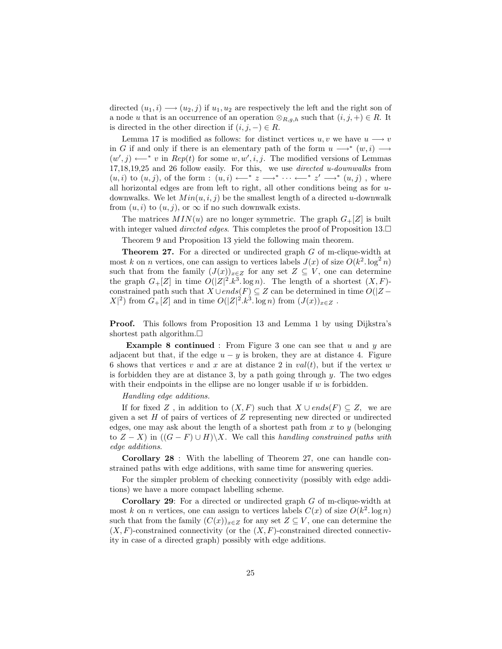directed  $(u_1, i) \longrightarrow (u_2, j)$  if  $u_1, u_2$  are respectively the left and the right son of a node u that is an occurrence of an operation  $\otimes_{R,q,h}$  such that  $(i, j, +) \in R$ . It is directed in the other direction if  $(i, j, -) \in R$ .

Lemma 17 is modified as follows: for distinct vertices u, v we have  $u \rightarrow v$ in G if and only if there is an elementary path of the form  $u \longrightarrow^* (w, i) \longrightarrow$  $(w', j) \longleftarrow^* v$  in  $Rep(t)$  for some  $w, w', i, j$ . The modified versions of Lemmas 17,18,19,25 and 26 follow easily. For this, we use directed u-downwalks from  $(u, i)$  to  $(u, j)$ , of the form :  $(u, i) \leftarrow^* z \rightarrow^* \cdots \leftarrow^* z' \rightarrow^* (u, j)$ , where all horizontal edges are from left to right, all other conditions being as for  $u$ downwalks. We let  $Min(u, i, j)$  be the smallest length of a directed u-downwalk from  $(u, i)$  to  $(u, j)$ , or  $\infty$  if no such downwalk exists.

The matrices  $MIN(u)$  are no longer symmetric. The graph  $G<sub>+</sub>[Z]$  is built with integer valued *directed edges*. This completes the proof of Proposition 13. $\Box$ Theorem 9 and Proposition 13 yield the following main theorem.

Theorem 27. For a directed or undirected graph G of m-clique-width at most k on n vertices, one can assign to vertices labels  $J(x)$  of size  $O(k^2 \cdot \log^2 n)$ such that from the family  $(J(x))_{x\in Z}$  for any set  $Z \subseteq V$ , one can determine the graph  $G_{+}[Z]$  in time  $O(|Z|^2.k^3.\log n)$ . The length of a shortest  $(X, F)$ constrained path such that  $X \cup ends(F) \subseteq Z$  can be determined in time  $O(|Z X|^2$ ) from  $G_{+}[Z]$  and in time  $O(|Z|^2.k^3 \log n)$  from  $(J(x))_{x\in Z}$ .

Proof. This follows from Proposition 13 and Lemma 1 by using Dijkstra's shortest path algorithm. $\square$ 

**Example 8 continued** : From Figure 3 one can see that  $u$  and  $y$  are adjacent but that, if the edge  $u - y$  is broken, they are at distance 4. Figure 6 shows that vertices v and x are at distance 2 in  $val(t)$ , but if the vertex w is forbidden they are at distance 3, by a path going through  $y$ . The two edges with their endpoints in the ellipse are no longer usable if  $w$  is forbidden.

#### Handling edge additions.

If for fixed Z, in addition to  $(X, F)$  such that  $X \cup ends(F) \subseteq Z$ , we are given a set  $H$  of pairs of vertices of  $Z$  representing new directed or undirected edges, one may ask about the length of a shortest path from  $x$  to  $y$  (belonging to  $Z - X$ ) in  $((G - F) \cup H)\X$ . We call this handling constrained paths with edge additions.

Corollary 28 : With the labelling of Theorem 27, one can handle constrained paths with edge additions, with same time for answering queries.

For the simpler problem of checking connectivity (possibly with edge additions) we have a more compact labelling scheme.

Corollary 29: For a directed or undirected graph G of m-clique-width at most k on n vertices, one can assign to vertices labels  $C(x)$  of size  $O(k^2 \log n)$ such that from the family  $(C(x))_{x\in Z}$  for any set  $Z\subseteq V$ , one can determine the  $(X, F)$ -constrained connectivity (or the  $(X, F)$ -constrained directed connectivity in case of a directed graph) possibly with edge additions.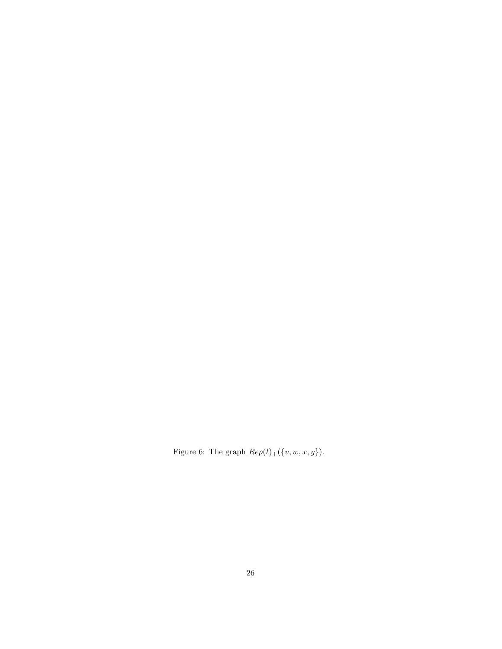Figure 6: The graph  $Rep(t)_+(\{v,w,x,y\}).$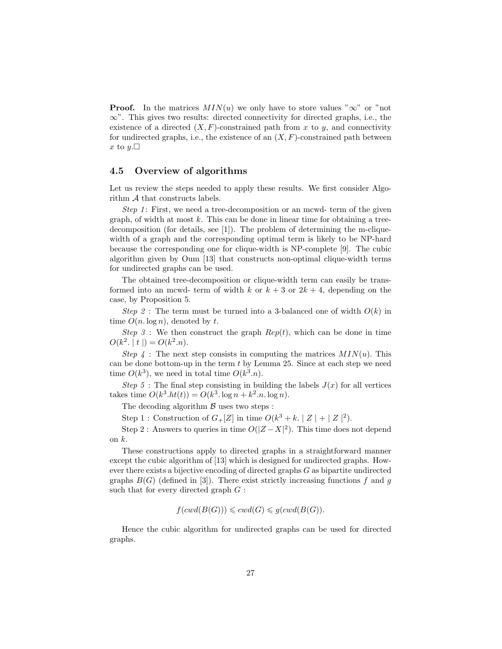**Proof.** In the matrices  $MIN(u)$  we only have to store values " $\infty$ " or "not ∞". This gives two results: directed connectivity for directed graphs, i.e., the existence of a directed  $(X, F)$ -constrained path from x to y, and connectivity for undirected graphs, i.e., the existence of an  $(X, F)$ -constrained path between x to  $y.\Box$ 

# 4.5 Overview of algorithms

Let us review the steps needed to apply these results. We first consider Algorithm A that constructs labels.

Step 1: First, we need a tree-decomposition or an mcwd- term of the given graph, of width at most  $k$ . This can be done in linear time for obtaining a treedecomposition (for details, see [1]). The problem of determining the m-cliquewidth of a graph and the corresponding optimal term is likely to be NP-hard because the corresponding one for clique-width is NP-complete [9]. The cubic algorithm given by Oum [13] that constructs non-optimal clique-width terms for undirected graphs can be used.

The obtained tree-decomposition or clique-width term can easily be transformed into an mcwd- term of width k or  $k + 3$  or  $2k + 4$ , depending on the case, by Proposition 5.

Step 2: The term must be turned into a 3-balanced one of width  $O(k)$  in time  $O(n \log n)$ , denoted by t.

Step 3 : We then construct the graph  $Rep(t)$ , which can be done in time  $O(k^2, |t|) = O(k^2.n).$ 

Step 4 : The next step consists in computing the matrices  $MIN(u)$ . This can be done bottom-up in the term  $t$  by Lemma 25. Since at each step we need time  $O(k^3)$ , we need in total time  $O(k^3 \cdot n)$ .

Step 5 : The final step consisting in building the labels  $J(x)$  for all vertices takes time  $O(k^3.ht(t)) = O(k^3. \log n + k^2.n. \log n)$ .

The decoding algorithm  $\beta$  uses two steps :

Step 1: Construction of  $G+[Z]$  in time  $O(k^3 + k, |Z| + |Z|^2)$ .

Step 2: Answers to queries in time  $O(|Z - X|^2)$ . This time does not depend on  $k$ .

These constructions apply to directed graphs in a straightforward manner except the cubic algorithm of [13] which is designed for undirected graphs. However there exists a bijective encoding of directed graphs G as bipartite undirected graphs  $B(G)$  (defined in [3]). There exist strictly increasing functions f and g such that for every directed graph  $G$ :

$$
f(cwd(B(G))) \leqslant cwd(G) \leqslant g(cwd(B(G)).
$$

Hence the cubic algorithm for undirected graphs can be used for directed graphs.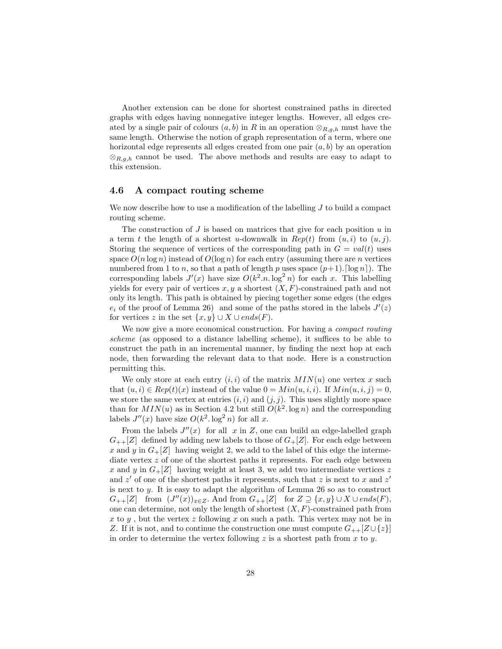Another extension can be done for shortest constrained paths in directed graphs with edges having nonnegative integer lengths. However, all edges created by a single pair of colours  $(a, b)$  in R in an operation  $\otimes_{R,g,h}$  must have the same length. Otherwise the notion of graph representation of a term, where one horizontal edge represents all edges created from one pair  $(a, b)$  by an operation  $\otimes_{R,g,h}$  cannot be used. The above methods and results are easy to adapt to this extension.

# 4.6 A compact routing scheme

We now describe how to use a modification of the labelling  $J$  to build a compact routing scheme.

The construction of  $J$  is based on matrices that give for each position  $u$  in a term t the length of a shortest u-downwalk in  $Rep(t)$  from  $(u, i)$  to  $(u, j)$ . Storing the sequence of vertices of the corresponding path in  $G = val(t)$  uses space  $O(n \log n)$  instead of  $O(\log n)$  for each entry (assuming there are n vertices numbered from 1 to n, so that a path of length p uses space  $(p+1)$ . [log n]. The corresponding labels  $J'(x)$  have size  $O(k^2 \cdot n \cdot \log^2 n)$  for each x. This labelling yields for every pair of vertices  $x, y$  a shortest  $(X, F)$ -constrained path and not only its length. This path is obtained by piecing together some edges (the edges  $e_i$  of the proof of Lemma 26) and some of the paths stored in the labels  $J'(z)$ for vertices z in the set  $\{x, y\} \cup X \cup ends(F)$ .

We now give a more economical construction. For having a compact routing scheme (as opposed to a distance labelling scheme), it suffices to be able to construct the path in an incremental manner, by finding the next hop at each node, then forwarding the relevant data to that node. Here is a construction permitting this.

We only store at each entry  $(i, i)$  of the matrix  $MIN(u)$  one vertex x such that  $(u, i) \in Rep(t)(x)$  instead of the value  $0 = Min(u, i, i)$ . If  $Min(u, i, j) = 0$ , we store the same vertex at entries  $(i, i)$  and  $(j, j)$ . This uses slightly more space than for  $MIN(u)$  as in Section 4.2 but still  $O(k^2 \cdot \log n)$  and the corresponding labels  $J''(x)$  have size  $O(k^2 \cdot \log^2 n)$  for all x.

From the labels  $J''(x)$  for all x in Z, one can build an edge-labelled graph  $G_{++}[Z]$  defined by adding new labels to those of  $G_{+}[Z]$ . For each edge between x and y in  $G_{+}[Z]$  having weight 2, we add to the label of this edge the intermediate vertex z of one of the shortest paths it represents. For each edge between x and y in  $G_{+}[Z]$  having weight at least 3, we add two intermediate vertices z and  $z'$  of one of the shortest paths it represents, such that z is next to x and  $z'$ is next to y. It is easy to adapt the algorithm of Lemma 26 so as to construct  $G_{++}[Z]$  from  $(J''(x))_{x\in Z}$ . And from  $G_{++}[Z]$  for  $Z \supseteq \{x,y\} \cup X \cup ends(F)$ , one can determine, not only the length of shortest  $(X, F)$ -constrained path from x to y, but the vertex z following x on such a path. This vertex may not be in Z. If it is not, and to continue the construction one must compute  $G_{++}[Z\cup\{z\}]$ in order to determine the vertex following z is a shortest path from x to y.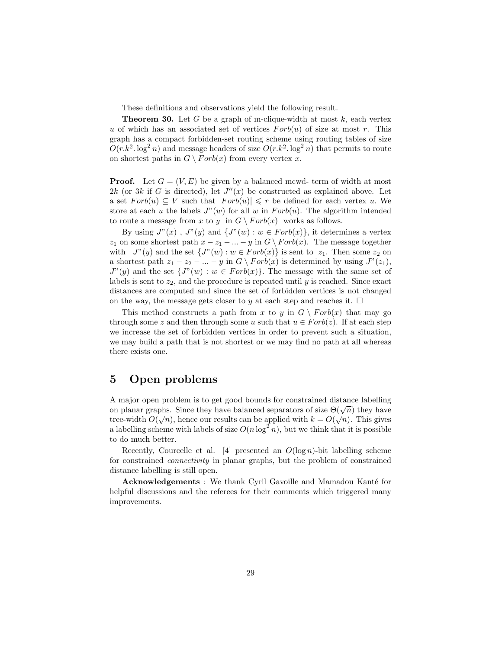These definitions and observations yield the following result.

**Theorem 30.** Let G be a graph of m-clique-width at most  $k$ , each vertex u of which has an associated set of vertices  $Forb(u)$  of size at most r. This graph has a compact forbidden-set routing scheme using routing tables of size  $O(r k^2 \cdot \log^2 n)$  and message headers of size  $O(r k^2 \cdot \log^2 n)$  that permits to route on shortest paths in  $G \setminus Forb(x)$  from every vertex x.

**Proof.** Let  $G = (V, E)$  be given by a balanced mcwd- term of width at most 2k (or 3k if G is directed), let  $J''(x)$  be constructed as explained above. Let a set  $Forb(u) \subseteq V$  such that  $|Forb(u)| \leq r$  be defined for each vertex u. We store at each u the labels  $J''(w)$  for all w in  $Forb(u)$ . The algorithm intended to route a message from x to y in  $G \setminus Forb(x)$  works as follows.

By using  $J''(x)$ ,  $J''(y)$  and  $\{J''(w): w \in Forb(x)\}\$ , it determines a vertex  $z_1$  on some shortest path  $x - z_1 - ... - y$  in  $G \setminus Forb(x)$ . The message together with  $J''(y)$  and the set  $\{J''(w): w \in Forb(x)\}$  is sent to  $z_1$ . Then some  $z_2$  on a shortest path  $z_1 - z_2 - ... - y$  in  $G \setminus Forb(x)$  is determined by using  $J''(z_1)$ ,  $J''(y)$  and the set  $\{J''(w): w \in Forb(x)\}.$  The message with the same set of labels is sent to  $z_2$ , and the procedure is repeated until y is reached. Since exact distances are computed and since the set of forbidden vertices is not changed on the way, the message gets closer to y at each step and reaches it.  $\Box$ 

This method constructs a path from x to y in  $G \setminus Forb(x)$  that may go through some z and then through some u such that  $u \in Forb(z)$ . If at each step we increase the set of forbidden vertices in order to prevent such a situation, we may build a path that is not shortest or we may find no path at all whereas there exists one.

# 5 Open problems

A major open problem is to get good bounds for constrained distance labelling A major open problem is to get good bounds for constrained distance rabeling<br>on planar graphs. Since they have balanced separators of size  $\Theta(\sqrt{n})$  they have tree-width  $O(\sqrt{n})$ , hence our results can be applied with  $k = O(\sqrt{n})$ . This gives a labelling scheme with labels of size  $O(n \log^2 n)$ , but we think that it is possible to do much better.

Recently, Courcelle et al. [4] presented an  $O(\log n)$ -bit labelling scheme for constrained connectivity in planar graphs, but the problem of constrained distance labelling is still open.

Acknowledgements : We thank Cyril Gavoille and Mamadou Kanté for helpful discussions and the referees for their comments which triggered many improvements.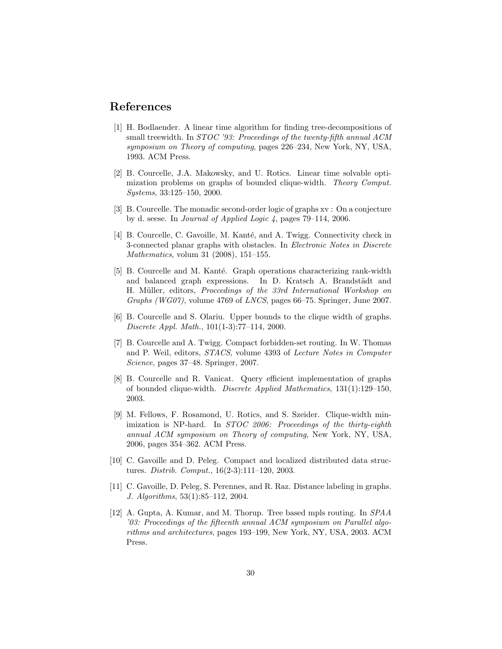# References

- [1] H. Bodlaender. A linear time algorithm for finding tree-decompositions of small treewidth. In *STOC* '93: Proceedings of the twenty-fifth annual ACM symposium on Theory of computing, pages 226–234, New York, NY, USA, 1993. ACM Press.
- [2] B. Courcelle, J.A. Makowsky, and U. Rotics. Linear time solvable optimization problems on graphs of bounded clique-width. Theory Comput. Systems, 33:125–150, 2000.
- [3] B. Courcelle. The monadic second-order logic of graphs xv : On a conjecture by d. seese. In Journal of Applied Logic 4, pages 79–114, 2006.
- [4] B. Courcelle, C. Gavoille, M. Kanté, and A. Twigg. Connectivity check in 3-connected planar graphs with obstacles. In Electronic Notes in Discrete Mathematics, volum 31 (2008), 151–155.
- [5] B. Courcelle and M. Kanté. Graph operations characterizing rank-width and balanced graph expressions. In D. Kratsch A. Brandstädt and H. Müller, editors, Proccedings of the 33rd International Workshop on Graphs (WG07), volume 4769 of LNCS, pages 66–75. Springer, June 2007.
- [6] B. Courcelle and S. Olariu. Upper bounds to the clique width of graphs. Discrete Appl. Math., 101(1-3):77–114, 2000.
- [7] B. Courcelle and A. Twigg. Compact forbidden-set routing. In W. Thomas and P. Weil, editors, STACS, volume 4393 of Lecture Notes in Computer Science, pages 37–48. Springer, 2007.
- [8] B. Courcelle and R. Vanicat. Query efficient implementation of graphs of bounded clique-width. Discrete Applied Mathematics, 131(1):129–150, 2003.
- [9] M. Fellows, F. Rosamond, U. Rotics, and S. Szeider. Clique-width minimization is NP-hard. In STOC 2006: Proceedings of the thirty-eighth annual ACM symposium on Theory of computing, New York, NY, USA, 2006, pages 354–362. ACM Press.
- [10] C. Gavoille and D. Peleg. Compact and localized distributed data structures. Distrib. Comput., 16(2-3):111–120, 2003.
- [11] C. Gavoille, D. Peleg, S. Perennes, and R. Raz. Distance labeling in graphs. J. Algorithms, 53(1):85–112, 2004.
- [12] A. Gupta, A. Kumar, and M. Thorup. Tree based mpls routing. In SPAA '03: Proceedings of the fifteenth annual ACM symposium on Parallel algorithms and architectures, pages 193–199, New York, NY, USA, 2003. ACM Press.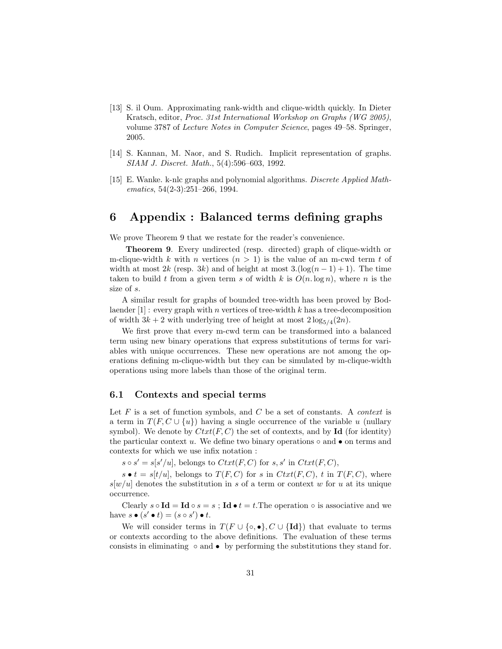- [13] S. il Oum. Approximating rank-width and clique-width quickly. In Dieter Kratsch, editor, Proc. 31st International Workshop on Graphs (WG 2005), volume 3787 of Lecture Notes in Computer Science, pages 49–58. Springer, 2005.
- [14] S. Kannan, M. Naor, and S. Rudich. Implicit representation of graphs. SIAM J. Discret. Math., 5(4):596–603, 1992.
- [15] E. Wanke. k-nlc graphs and polynomial algorithms. *Discrete Applied Math*ematics, 54(2-3):251–266, 1994.

# 6 Appendix : Balanced terms defining graphs

We prove Theorem 9 that we restate for the reader's convenience.

Theorem 9. Every undirected (resp. directed) graph of clique-width or m-clique-width k with n vertices  $(n > 1)$  is the value of an m-cwd term t of width at most 2k (resp. 3k) and of height at most  $3.(\log(n-1)+1)$ . The time taken to build t from a given term s of width k is  $O(n \log n)$ , where n is the size of s.

A similar result for graphs of bounded tree-width has been proved by Bodlaender  $[1]$ : every graph with *n* vertices of tree-width k has a tree-decomposition of width  $3k + 2$  with underlying tree of height at most  $2\log_{5/4}(2n)$ .

We first prove that every m-cwd term can be transformed into a balanced term using new binary operations that express substitutions of terms for variables with unique occurrences. These new operations are not among the operations defining m-clique-width but they can be simulated by m-clique-width operations using more labels than those of the original term.

## 6.1 Contexts and special terms

Let  $F$  is a set of function symbols, and  $C$  be a set of constants. A *context* is a term in  $T(F, C \cup \{u\})$  having a single occurrence of the variable u (nullary symbol). We denote by  $Ctxt(F, C)$  the set of contexts, and by Id (for identity) the particular context u. We define two binary operations  $\circ$  and  $\bullet$  on terms and contexts for which we use infix notation :

 $s \circ s' = s[s'/u]$ , belongs to  $Ctxt(F, C)$  for  $s, s'$  in  $Ctxt(F, C)$ ,

 $s \bullet t = s[t/u]$ , belongs to  $T(F, C)$  for s in  $Ctxt(F, C)$ , t in  $T(F, C)$ , where  $s[w/u]$  denotes the substitution in s of a term or context w for u at its unique occurrence.

Clearly  $s \circ \mathbf{Id} = \mathbf{Id} \circ s = s$ ;  $\mathbf{Id} \bullet t = t$ . The operation  $\circ$  is associative and we have  $s \bullet (s' \bullet t) = (s \circ s') \bullet t$ .

We will consider terms in  $T(F \cup \{\circ, \bullet\}, C \cup \{\text{Id}\})$  that evaluate to terms or contexts according to the above definitions. The evaluation of these terms consists in eliminating  $\circ$  and  $\bullet$  by performing the substitutions they stand for.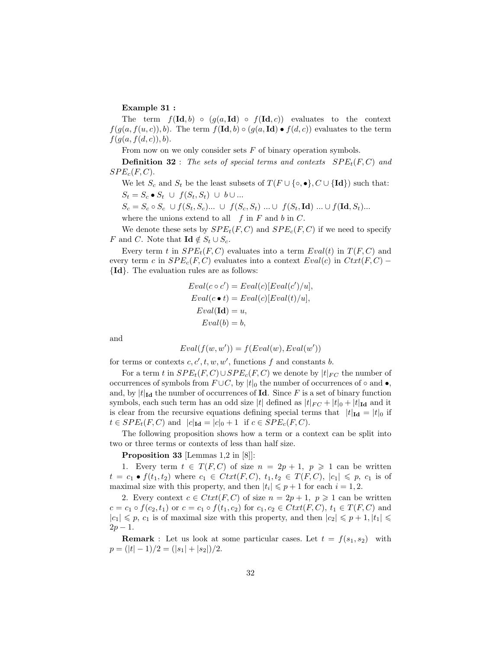### Example 31 :

The term  $f(\text{Id}, b) \circ (g(a, \text{Id}) \circ f(\text{Id}, c))$  evaluates to the context  $f(q(a, f(u, c)), b)$ . The term  $f(\mathbf{Id}, b) \circ (g(a, \mathbf{Id}) \bullet f(d, c))$  evaluates to the term  $f(g(a, f(d, c)), b).$ 

From now on we only consider sets F of binary operation symbols.

**Definition 32** : The sets of special terms and contexts  $SPE<sub>t</sub>(F, C)$  and  $SPE_c(F, C)$ .

We let  $S_c$  and  $S_t$  be the least subsets of  $T(F \cup \{\circ, \bullet\}, C \cup \{\text{Id}\})$  such that:  $S_t = S_c \bullet S_t \cup f(S_t, S_t) \cup b \cup ...$ 

$$
S_c = S_c \circ S_c \cup f(S_t, S_c) \dots \cup f(S_c, S_t) \dots \cup f(S_t, \text{Id}) \dots \cup f(\text{Id}, S_t) \dots
$$

where the unions extend to all  $f$  in  $F$  and  $b$  in  $C$ .

We denote these sets by  $SPE<sub>t</sub>(F, C)$  and  $SPE<sub>c</sub>(F, C)$  if we need to specify F and C. Note that  $\mathbf{Id} \notin S_t \cup S_c$ .

Every term t in  $SPE_t(F, C)$  evaluates into a term  $Eval(t)$  in  $T(F, C)$  and every term c in  $SPE_c(F, C)$  evaluates into a context  $Eval(c)$  in  $Cut(F, C)$  – {Id}. The evaluation rules are as follows:

$$
Eval(c \circ c') = eval(c)[Eval(c')/u],
$$
  
\n
$$
Eval(c \bullet t) = eval(c)[Eval(t)/u],
$$
  
\n
$$
Eval(\text{Id}) = u,
$$
  
\n
$$
Eval(b) = b,
$$

and

$$
Eval(f(w, w')) = f(Eval(w),Eval(w'))
$$

for terms or contexts  $c, c', t, w, w'$ , functions f and constants b.

For a term t in  $SPE_t(F, C) \cup SPE_c(F, C)$  we denote by  $|t|_{FC}$  the number of occurrences of symbols from  $F \cup C$ , by  $|t|_0$  the number of occurrences of ∘ and •, and, by  $|t|_{\text{Id}}$  the number of occurrences of Id. Since F is a set of binary function symbols, each such term has an odd size |t| defined as  $|t|_{FC} + |t|_0 + |t|_{Id}$  and it is clear from the recursive equations defining special terms that  $|t|_{\text{Id}} = |t|_0$  if  $t \in SPE_t(F, C)$  and  $|c|_{\text{Id}} = |c|_0 + 1$  if  $c \in SPE_c(F, C)$ .

The following proposition shows how a term or a context can be split into two or three terms or contexts of less than half size.

Proposition 33 [Lemmas 1,2 in [8]]:

1. Every term  $t \in T(F, C)$  of size  $n = 2p + 1$ ,  $p \ge 1$  can be written  $t = c_1 \bullet f(t_1, t_2)$  where  $c_1 \in Ctxt(F, C), t_1, t_2 \in T(F, C), |c_1| \leq p, c_1$  is of maximal size with this property, and then  $|t_i| \leqslant p+1$  for each  $i = 1, 2$ .

2. Every context  $c \in Ctxt(F, C)$  of size  $n = 2p + 1$ ,  $p \ge 1$  can be written  $c = c_1 \circ f(c_2, t_1)$  or  $c = c_1 \circ f(t_1, c_2)$  for  $c_1, c_2 \in Ctxt(F, C), t_1 \in T(F, C)$  and  $|c_1| \leq p, c_1$  is of maximal size with this property, and then  $|c_2| \leq p+1, |t_1| \leq$  $2p - 1$ .

**Remark**: Let us look at some particular cases. Let  $t = f(s_1, s_2)$  with  $p = (|t| - 1)/2 = (|s_1| + |s_2|)/2.$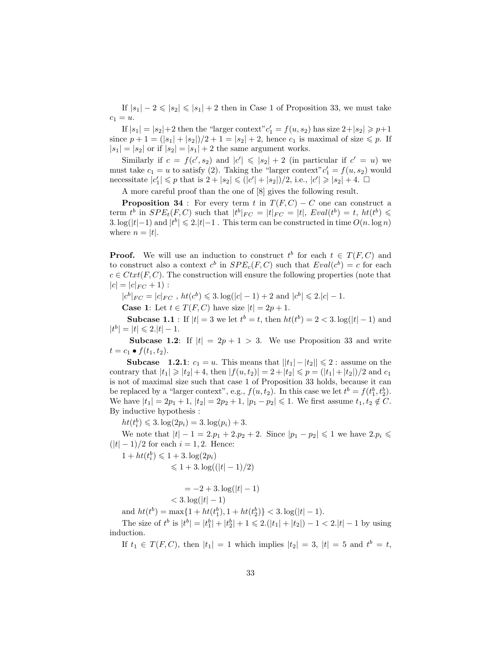If  $|s_1| - 2 \leq |s_2| \leq |s_1| + 2$  then in Case 1 of Proposition 33, we must take  $c_1 = u.$ 

If  $|s_1| = |s_2| + 2$  then the "larger context"  $c'_1 = f(u, s_2)$  has size  $2 + |s_2| \geq p+1$ since  $p + 1 = (|s_1| + |s_2|)/2 + 1 = |s_2| + 2$ , hence  $c_1$  is maximal of size  $\leq p$ . If  $|s_1| = |s_2|$  or if  $|s_2| = |s_1| + 2$  the same argument works.

Similarly if  $c = f(c', s_2)$  and  $|c'| \leqslant |s_2| + 2$  (in particular if  $c' = u$ ) we must take  $c_1 = u$  to satisfy (2). Taking the "larger context"  $c'_1 = f(u, s_2)$  would necessitate  $|c'_1| \leq p$  that is  $2 + |s_2| \leq (|c'| + |s_2|)/2$ , i.e.,  $|c'| \geq |s_2| + 4$ .  $\Box$ 

A more careful proof than the one of [8] gives the following result.

**Proposition 34** : For every term t in  $T(F, C) - C$  one can construct a term  $t^b$  in  $SPE_t(F, C)$  such that  $|t^b|_{FC} = |t|_{FC} = |t|$ ,  $Eval(t^b) = t$ ,  $ht(t^b) \le$ 3. log(|t|−1) and  $|t^{b}| \leq 2$ .  $|t|$ −1. This term can be constructed in time  $O(n \log n)$ where  $n = |t|$ .

**Proof.** We will use an induction to construct  $t^b$  for each  $t \in T(F, C)$  and to construct also a context  $c^b$  in  $SPE_c(F, C)$  such that  $Eval(c^b) = c$  for each  $c \in Ctxt(F, C)$ . The construction will ensure the following properties (note that  $|c| = |c|_{FC} + 1$ :

 $|c^b|_{FC} = |c|_{FC}$ ,  $ht(c^b) \leq 3 \cdot \log(|c| - 1) + 2$  and  $|c^b| \leq 2 \cdot |c| - 1$ .

**Case 1:** Let  $t \in T(F, C)$  have size  $|t| = 2p + 1$ .

**Subcase 1.1**: If  $|t| = 3$  we let  $t^b = t$ , then  $ht(t^b) = 2 < 3$ .  $\log(|t| - 1)$  and  $|t^b| = |t| \leq 2.|t| - 1.$ 

**Subcase 1.2:** If  $|t| = 2p + 1 > 3$ . We use Proposition 33 and write  $t = c_1 \bullet f(t_1, t_2).$ 

**Subcase** 1.2.1:  $c_1 = u$ . This means that  $||t_1| - |t_2|| \leq 2$ : assume on the contrary that  $|t_1| \geq |t_2| + 4$ , then  $|f(u, t_2)| = 2 + |t_2| \leq p = (|t_1| + |t_2|)/2$  and  $c_1$ is not of maximal size such that case 1 of Proposition 33 holds, because it can be replaced by a "larger context", e.g.,  $f(u, t_2)$ . In this case we let  $t^b = f(t_1^b, t_2^b)$ . We have  $|t_1| = 2p_1 + 1$ ,  $|t_2| = 2p_2 + 1$ ,  $|p_1 - p_2| \leq 1$ . We first assume  $t_1, t_2 \notin C$ . By inductive hypothesis :

 $ht(t_i^b) \leq 3. \log(2p_i) = 3. \log(p_i) + 3.$ 

We note that  $|t| - 1 = 2 \cdot p_1 + 2 \cdot p_2 + 2$ . Since  $|p_1 - p_2| \leq 1$  we have  $2 \cdot p_i \leq$  $(|t| - 1)/2$  for each  $i = 1, 2$ . Hence:

 $1 + ht(t_i^b) \leq 1 + 3 \cdot \log(2p_i)$ 

$$
\leqslant 1 + 3.\log((|t| - 1)/2)
$$

$$
= -2 + 3.\log(|t| - 1) < 3.\log(|t| - 1)
$$

and  $ht(t^b) = \max\{1 + ht(t_1^b), 1 + ht(t_2^b)\} < 3 \cdot \log(|t| - 1)$ .

The size of  $t^b$  is  $|t^b| = |t_1^b| + |t_2^b| + 1 \le 2$ .  $(|t_1| + |t_2|) - 1 < 2$ .  $|t| - 1$  by using induction.

If  $t_1 \in T(F, C)$ , then  $|t_1| = 1$  which implies  $|t_2| = 3$ ,  $|t| = 5$  and  $t^b = t$ ,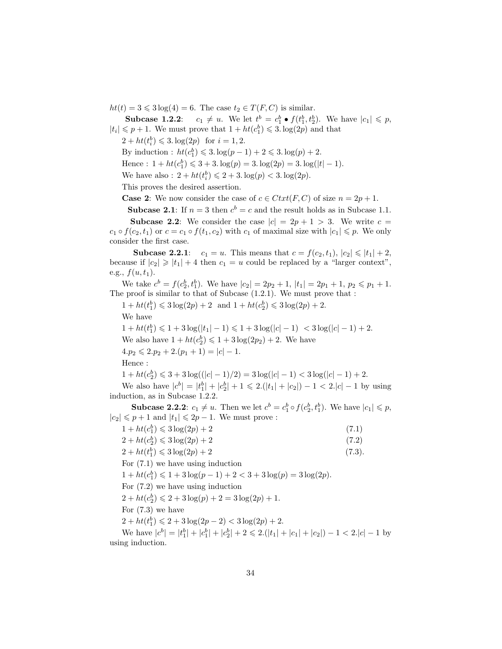$ht(t) = 3 \leq 3 \log(4) = 6$ . The case  $t_2 \in T(F, C)$  is similar.

**Subcase 1.2.2**:  $c_1 \neq u$ . We let  $t^b = c_1^b \bullet f(t_1^b, t_2^b)$ . We have  $|c_1| \leq p$ ,  $|t_i| \leqslant p + 1$ . We must prove that  $1 + ht(c_1^b) \leqslant 3$ .  $log(2p)$  and that

 $2 + ht(t_i^b) \leq 3 \log(2p) \text{ for } i = 1, 2.$ 

By induction :  $ht(c_1^b) \leq 3. \log(p-1) + 2 \leq 3. \log(p) + 2.$ 

Hence :  $1 + ht(c_1^b) \leq 3 + 3 \cdot log(p) = 3 \cdot log(2p) = 3 \cdot log(|t| - 1)$ .

We have also :  $2 + ht(t_i^b) \leq 2 + 3 \cdot \log(p) < 3 \cdot \log(2p)$ .

This proves the desired assertion.

**Case 2:** We now consider the case of  $c \in Ctxt(F, C)$  of size  $n = 2p + 1$ .

**Subcase 2.1:** If  $n = 3$  then  $c^b = c$  and the result holds as in Subcase 1.1.

**Subcase 2.2:** We consider the case  $|c| = 2p + 1 > 3$ . We write  $c =$  $c_1 \circ f(c_2, t_1)$  or  $c = c_1 \circ f(t_1, c_2)$  with  $c_1$  of maximal size with  $|c_1| \leqslant p$ . We only consider the first case.

**Subcase 2.2.1:**  $c_1 = u$ . This means that  $c = f(c_2, t_1), |c_2| \leq |t_1| + 2$ , because if  $|c_2| \geqslant |t_1| + 4$  then  $c_1 = u$  could be replaced by a "larger context", e.g.,  $f(u, t_1)$ .

We take  $c^b = f(c_2^b, t_1^b)$ . We have  $|c_2| = 2p_2 + 1$ ,  $|t_1| = 2p_1 + 1$ ,  $p_2 \leq p_1 + 1$ . The proof is similar to that of Subcase (1.2.1). We must prove that :

 $1 + ht(t_1^b) \leq 3 \log(2p) + 2 \text{ and } 1 + ht(c_2^b) \leq 3 \log(2p) + 2.$ 

We have

 $1 + ht(t_1^b) \leq 1 + 3 \log(|t_1| - 1) \leq 1 + 3 \log(|c| - 1) < 3 \log(|c| - 1) + 2.$ We also have  $1 + ht(c_2^b) \leq 1 + 3 log(2p_2) + 2$ . We have  $4.p_2 \leqslant 2.p_2 + 2.(p_1 + 1) = |c| - 1.$ Hence :  $1 + ht(c_2^b) \leq 3 + 3 log((|c|-1)/2) = 3 log(|c|-1) < 3 log(|c|-1) + 2.$ 

We also have  $|c^b| = |t_1^b| + |c_2^b| + 1 \leq 2(|t_1| + |c_2|) - 1 < 2|c| - 1$  by using induction, as in Subcase 1.2.2.

**Subcase 2.2.2**:  $c_1 \neq u$ . Then we let  $c^b = c_1^b \circ f(c_2^b, t_1^b)$ . We have  $|c_1| \leq p$ ,  $|c_2| \leqslant p + 1$  and  $|t_1| \leqslant 2p - 1$ . We must prove :

| $1 + ht(c_1^b) \leq 3 log(2p) + 2$                                                                | (7.1)  |
|---------------------------------------------------------------------------------------------------|--------|
| $2 + ht(c_2^b) \leq 3 log(2p) + 2$                                                                | (7.2)  |
| $2 + ht(t_1^b) \leq 3 log(2p) + 2$                                                                | (7.3). |
|                                                                                                   |        |
| For $(7.1)$ we have using induction                                                               |        |
| $1 + ht(c_1^b) \leq 1 + 3 log(p-1) + 2 < 3 + 3 log(p) = 3 log(2p).$                               |        |
| For $(7.2)$ we have using induction                                                               |        |
| $2 + ht(c_2^b) \leq 2 + 3 log(p) + 2 = 3 log(2p) + 1.$                                            |        |
| For $(7.3)$ we have                                                                               |        |
| $2 + ht(t_1^b) \leq 2 + 3 log(2p - 2) < 3 log(2p) + 2.$                                           |        |
| We have $ c^b  =  t_1^b  +  c_1^b  +  c_2^b  + 2 \leq 2( t_1  +  c_1  +  c_2 ) - 1 < 2 c  - 1$ by |        |
| using induction.                                                                                  |        |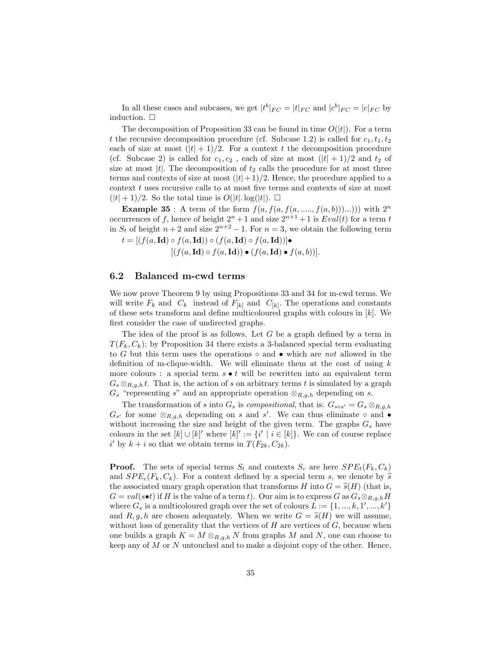In all these cases and subcases, we get  $|t^{b}|_{FC} = |t|_{FC}$  and  $|c^{b}|_{FC} = |c|_{FC}$  by induction.  $\square$ 

The decomposition of Proposition 33 can be found in time  $O(|t|)$ . For a term t the recursive decomposition procedure (cf. Subcase 1.2) is called for  $c_1, t_1, t_2$ each of size at most  $(|t| + 1)/2$ . For a context t the decomposition procedure (cf. Subcase 2) is called for  $c_1, c_2$ , each of size at most  $(|t| + 1)/2$  and  $t_2$  of size at most  $|t|$ . The decomposition of  $t_2$  calls the procedure for at most three terms and contexts of size at most  $(|t|+1)/2$ . Hence, the procedure applied to a context  $t$  uses recursive calls to at most five terms and contexts of size at most  $(|t| + 1)/2$ . So the total time is  $O(|t| \cdot \log(|t|))$ .  $\square$ 

**Example 35**: A term of the form  $f(a, f(a, f(a, \ldots, f(a, b))\ldots)))$  with  $2^n$ occurrences of f, hence of height  $2^n + 1$  and size  $2^{n+1} + 1$  is  $Eval(t)$  for a term t in  $S_t$  of height  $n+2$  and size  $2^{n+2} - 1$ . For  $n = 3$ , we obtain the following term  $[(f(a, \text{Id}) \circ f(a, \text{Id})) \circ (f(a, \text{Id}) \circ f(a, \text{Id}))]$ 

$$
t = [(f(a, \mathbf{Id}) \circ f(a, \mathbf{Id})) \circ (f(a, \mathbf{Id}) \circ f(a, \mathbf{Id}))] \bullet [(f(a, \mathbf{Id}) \circ f(a, \mathbf{Id})) \bullet (f(a, \mathbf{Id}) \bullet f(a, b))].
$$

### 6.2 Balanced m-cwd terms

We now prove Theorem 9 by using Propositions 33 and 34 for m-cwd terms. We will write  $F_k$  and  $C_k$  instead of  $F_{[k]}$  and  $C_{[k]}$ . The operations and constants of these sets transform and define multicoloured graphs with colours in  $|k|$ . We first consider the case of undirected graphs.

The idea of the proof is as follows. Let  $G$  be a graph defined by a term in  $T(F_k, C_k)$ ; by Proposition 34 there exists a 3-balanced special term evaluating to G but this term uses the operations  $\circ$  and  $\bullet$  which are not allowed in the definition of m-clique-width. We will eliminate them at the cost of using  $k$ more colours : a special term  $s \bullet t$  will be rewritten into an equivalent term  $G_s \otimes_{R,q,h} t$ . That is, the action of s on arbitrary terms t is simulated by a graph  $G_s$  "representing s" and an appropriate operation  $\otimes_{R,g,h}$  depending on s.

The transformation of s into  $G_s$  is compositional, that is:  $G_{s \circ s'} = G_s \otimes_{R,g,h}$  $G_{s'}$  for some  $\otimes_{R,g,h}$  depending on s and s'. We can thus eliminate  $\circ$  and  $\bullet$ without increasing the size and height of the given term. The graphs  $G_s$  have colours in the set  $[k] \cup [k]'$  where  $[k]' := \{i' \mid i \in [k]\}\$ . We can of course replace i' by  $k + i$  so that we obtain terms in  $T(F_{2k}, C_{2k})$ .

**Proof.** The sets of special terms  $S_t$  and contexts  $S_c$  are here  $SPE_t(F_k, C_k)$ and  $SPE_c(F_k, C_k)$ . For a context defined by a special term s, we denote by  $\tilde{s}$ the associated unary graph operation that transforms H into  $G = \tilde{s}(H)$  (that is,  $G = val(s \bullet t)$  if H is the value of a term t). Our aim is to express G as  $G_s \otimes_{R,q,h} H$ where  $G_s$  is a multicoloured graph over the set of colours  $L := \{1, ..., k, 1', ..., k'\}$ and R, g, h are chosen adequately. When we write  $G = \tilde{s}(H)$  we will assume, without loss of generality that the vertices of  $H$  are vertices of  $G$ , because when one builds a graph  $K = M \otimes_{R,q,h} N$  from graphs M and N, one can choose to keep any of  $M$  or  $N$  untouched and to make a disjoint copy of the other. Hence,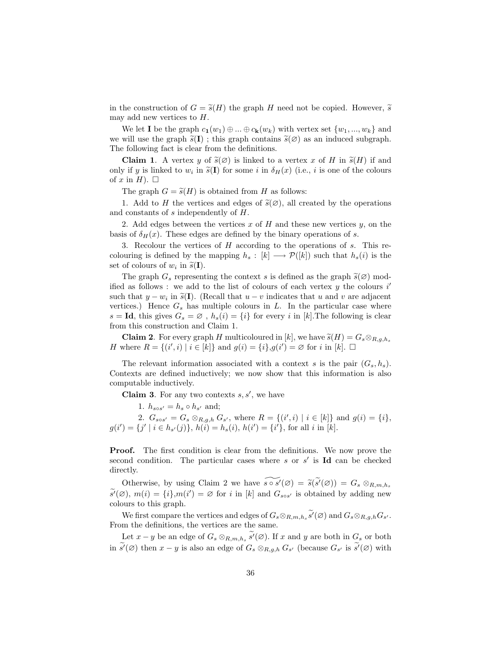in the construction of  $G = \tilde{s}(H)$  the graph H need not be copied. However,  $\tilde{s}$ may add new vertices to  $H$ .

We let **I** be the graph  $c_1(w_1) \oplus ... \oplus c_k(w_k)$  with vertex set  $\{w_1, ..., w_k\}$  and we will use the graph  $\tilde{s}(I)$ ; this graph contains  $\tilde{s}(\emptyset)$  as an induced subgraph. The following fact is clear from the definitions.

**Claim 1.** A vertex y of  $\tilde{s}(\emptyset)$  is linked to a vertex x of H in  $\tilde{s}(H)$  if and only if y is linked to  $w_i$  in  $\tilde{s}(\mathbf{I})$  for some i in  $\delta_H(x)$  (i.e., i is one of the colours of  $x$  in  $H$ ). of x in H.  $\Box$ 

The graph  $G = \tilde{s}(H)$  is obtained from H as follows:

1. Add to H the vertices and edges of  $\tilde{s}(\emptyset)$ , all created by the operations and constants of s independently of H.

2. Add edges between the vertices  $x$  of  $H$  and these new vertices  $y$ , on the basis of  $\delta_H(x)$ . These edges are defined by the binary operations of s.

3. Recolour the vertices of H according to the operations of s. This recolouring is defined by the mapping  $h_s : [k] \longrightarrow \mathcal{P}([k])$  such that  $h_s(i)$  is the set of colours of  $w_i$  in  $\widetilde{s}(\mathbf{I}).$ 

The graph  $G_s$  representing the context s is defined as the graph  $\tilde{s}(\emptyset)$  modified as follows : we add to the list of colours of each vertex  $y$  the colours  $i'$ such that  $y - w_i$  in  $\tilde{s}(I)$ . (Recall that  $u - v$  indicates that u and v are adjacent<br>vertices). Hence  $G$  has multiple colours in  $I$ . In the particular case where vertices.) Hence  $G_s$  has multiple colours in  $L$ . In the particular case where  $s = Id$ , this gives  $G_s = \emptyset$ ,  $h_s(i) = \{i\}$  for every i in [k]. The following is clear from this construction and Claim 1.

**Claim 2.** For every graph H multicoloured in [k], we have  $\tilde{s}(H) = G_s \otimes_{R,g,h_s}$ H where  $R = \{(i', i) | i \in [k]\}$  and  $g(i) = \{i\}, g(i') = \emptyset$  for i in  $[k]$ .  $\Box$ 

The relevant information associated with a context s is the pair  $(G_s, h_s)$ . Contexts are defined inductively; we now show that this information is also computable inductively.

**Claim 3.** For any two contexts  $s, s'$ , we have

1.  $h_{s \circ s'} = h_s \circ h_{s'}$  and;

2.  $G_{s \circ s'} = G_s \otimes_{R,g,h} G_{s'}$ , where  $R = \{(i',i) | i \in [k]\}$  and  $g(i) = \{i\},$  $g(i') = \{j' \mid i \in h_{s'}(j)\}, h(i) = h_s(i), h(i') = \{i'\}, \text{ for all } i \text{ in } [k].$ 

Proof. The first condition is clear from the definitions. We now prove the second condition. The particular cases where s or  $s'$  is Id can be checked directly.

Otherwise, by using Claim 2 we have  $\widetilde{s \circ s'}(\varnothing) = \widetilde{s}(\widetilde{s'}(\varnothing)) = G_s \otimes_{R,m,h_s}$  $\widetilde{s'}(\varnothing)$ ,  $m(i) = \{i\}$ ,  $m(i') = \varnothing$  for i in [k] and  $G_{s \circ s'}$  is obtained by adding new colours to this graph.

We first compare the vertices and edges of  $G_s \otimes_{R,m,h_s} \widetilde{s'}(\varnothing)$  and  $G_s \otimes_{R,g,h} G_{s'}$ . From the definitions, the vertices are the same.

Let  $x - y$  be an edge of  $G_s \otimes_{R,m,h_s} \widetilde{s}'(\varnothing)$ . If  $x$  and  $y$  are both in  $G_s$  or both in  $\widetilde{s'}(\varnothing)$  then  $x - y$  is also an edge of  $G_s \otimes_{R,g,h} G_{s'}$  (because  $G_{s'}$  is  $\widetilde{s'}(\varnothing)$  with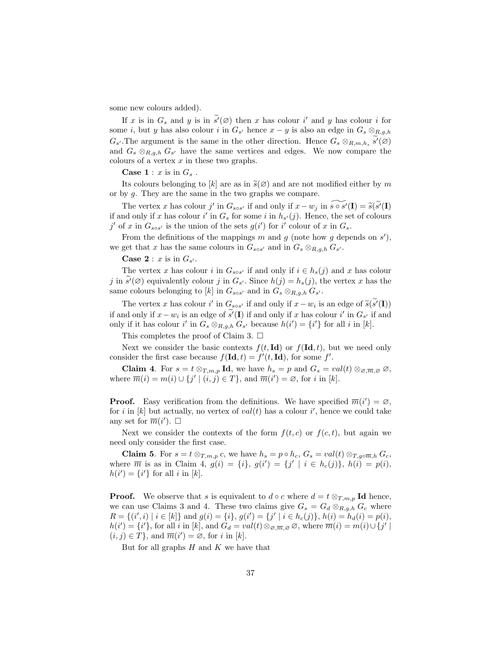some new colours added).

If x is in  $G_s$  and y is in  $\widetilde{s'}(\varnothing)$  then x has colour i' and y has colour i for some *i*, but y has also colour *i* in  $G_{s'}$  hence  $x - y$  is also an edge in  $G_s \otimes_{R,g,h}$  $G_{s'}$ . The argument is the same in the other direction. Hence  $G_s \otimes_{R,m,h_s} \widetilde{s'}(\varnothing)$ and  $G_s \otimes_{R,g,h} G_{s'}$  have the same vertices and edges. We now compare the colours of a vertex  $x$  in these two graphs.

**Case 1** :  $x$  is in  $G_s$ .

Its colours belonging to [k] are as in  $\tilde{s}(\emptyset)$  and are not modified either by m or by g. They are the same in the two graphs we compare.

The vertex x has colour j' in  $G_{s \circ s'}$  if and only if  $x - w_j$  in  $\widetilde{s \circ s'}(\mathbf{I}) = \widetilde{s}(\widetilde{s'}(\mathbf{I}))$ <br>nd only if x has colour i' in C, for some i in h, (i). Hence, the set of colours if and only if x has colour i' in  $G_s$  for some i in  $h_{s'}(j)$ . Hence, the set of colours j' of x in  $G_{s \circ s'}$  is the union of the sets  $g(i')$  for i' colour of x in  $G_s$ .

From the definitions of the mappings m and g (note how g depends on  $s'$ ), we get that x has the same colours in  $G_{s \circ s'}$  and in  $G_s \otimes_{R,g,h} G_{s'}$ .

**Case 2** :  $x$  is in  $G_{s'}$ .

The vertex x has colour i in  $G_{s \circ s'}$  if and only if  $i \in h_s(j)$  and x has colour j in  $\widetilde{s'}(\varnothing)$  equivalently colour j in  $G_{s'}$ . Since  $h(j) = h_s(j)$ , the vertex x has the same colours belonging to [k] in  $G_{s \circ s'}$  and in  $G_s \otimes_{R,g,h} G_{s'}$ .

The vertex x has colour i' in  $G_{s \circ s'}$  if and only if  $x - w_i$  is an edge of  $\widetilde{s}(\widetilde{s'}(I))$ if and only if  $x - w_i$  is an edge of  $\tilde{s}^i(I)$  if and only if x has colour i' in  $G_{s'}$  if and only if it has colour i' in  $G_s \otimes_{R,g,h} G_{s'}$  because  $h(i') = \{i'\}$  for all i in [k].

This completes the proof of Claim 3.  $\Box$ 

Next we consider the basic contexts  $f(t, \mathbf{Id})$  or  $f(\mathbf{Id}, t)$ , but we need only consider the first case because  $f(\mathbf{Id}, t) = f'(t, \mathbf{Id})$ , for some f'.

**Claim 4.** For  $s = t \otimes_{T,m,p} \mathbf{Id}$ , we have  $h_s = p$  and  $G_s = val(t) \otimes_{\mathcal{O},\overline{m},\mathcal{O}} \mathcal{O}$ , where  $\overline{m}(i) = m(i) \cup \{j' \mid (i, j) \in T\}$ , and  $\overline{m}(i') = \emptyset$ , for i in [k].

**Proof.** Easy verification from the definitions. We have specified  $\overline{m}(i') = \emptyset$ , for i in [k] but actually, no vertex of  $val(t)$  has a colour i', hence we could take any set for  $\overline{m}(i')$ .  $\Box$ 

Next we consider the contexts of the form  $f(t, c)$  or  $f(c, t)$ , but again we need only consider the first case.

**Claim 5.** For  $s = t \otimes_{T,m,p} c$ , we have  $h_s = p \circ h_c$ ,  $G_s = val(t) \otimes_{T,g \circ \overline{m},h} G_c$ , where  $\overline{m}$  is as in Claim 4,  $g(i) = \{i\}, g(i') = \{j' \mid i \in h_c(j)\}, h(i) = p(i),$  $h(i') = \{i'\}\$ for all i in [k].

**Proof.** We observe that s is equivalent to  $d \circ c$  where  $d = t \otimes_{T,m,p} \mathbf{Id}$  hence, we can use Claims 3 and 4. These two claims give  $G_s = G_d \otimes_{R,q,h} G_c$  where  $R = \{(i', i) \mid i \in [k]\}$  and  $g(i) = \{i\}, g(i') = \{j' \mid i \in h_c(j)\}, h(i) = h_d(i) = p(i),$  $h(i') = \{i'\},\text{ for all } i \text{ in } [k],\text{ and } G_d = val(t) \otimes_{\mathcal{O},\overline{m},\mathcal{O}} \mathcal{O},\text{ where } \overline{m}(i) = m(i) \cup \{j'\}$  $(i, j) \in \overline{T}$ , and  $\overline{m}(i') = \emptyset$ , for i in [k].

But for all graphs  $H$  and  $K$  we have that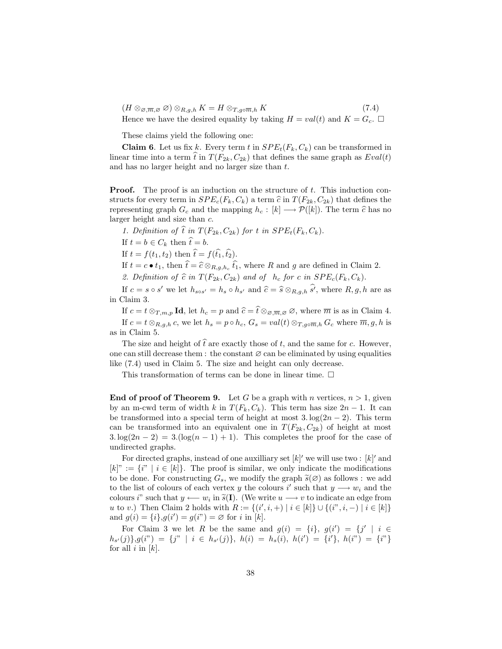$(H \otimes_{\mathfrak{S},\overline{m},\mathfrak{S}} \mathfrak{S}) \otimes_{R,g,h} K = H \otimes_{T,g \circ \overline{m},h} K$  (7.4) Hence we have the desired equality by taking  $H = val(t)$  and  $K = G_c$ .

These claims yield the following one:

**Claim 6.** Let us fix k. Every term t in  $SPE<sub>t</sub>(F<sub>k</sub>, C<sub>k</sub>)$  can be transformed in linear time into a term  $\hat{t}$  in  $T(F_{2k}, C_{2k})$  that defines the same graph as  $Eval(t)$ and has no larger height and no larger size than t.

**Proof.** The proof is an induction on the structure of t. This induction constructs for every term in  $SPE_c(F_k, C_k)$  a term  $\hat{c}$  in  $T(F_{2k}, C_{2k})$  that defines the representing graph  $G_c$  and the mapping  $h_c : [k] \longrightarrow \mathcal{P}([k])$ . The term  $\hat{c}$  has no larger height and size than c.

1. Definition of  $\hat{t}$  in  $T(F_{2k}, C_{2k})$  for t in  $SPE_t(F_k, C_k)$ .

If  $t = b \in C_k$  then  $\hat{t} = b$ .

If  $t = f(t_1, t_2)$  then  $\hat{t} = f(\hat{t_1}, \hat{t_2})$ .

If  $t = c \bullet t_1$ , then  $\hat{t} = \hat{c} \otimes_{R,g,h_c} \hat{t_1}$ , where R and g are defined in Claim 2.

2. Definition of  $\hat{c}$  in  $T(F_{2k}, C_{2k})$  and of  $h_c$  for c in  $SPE_c(F_k, C_k)$ .

If  $c = s \circ s'$  we let  $h_{s \circ s'} = h_s \circ h_{s'}$  and  $\hat{c} = \hat{s} \otimes_{R,g,h} \hat{s'}$ , where  $R, g, h$  are as in Claim 3.

If  $c = t \otimes_{T,m,p} \mathbf{Id}$ , let  $h_c = p$  and  $\widehat{c} = \widehat{t} \otimes_{\mathcal{O},\overline{m},\mathcal{O}} \mathcal{O}$ , where  $\overline{m}$  is as in Claim 4. If  $c = t \otimes_{R,a,h} c$ , we let  $h_s = p \circ h_c$ ,  $G_s = val(t) \otimes_{T,a \circ \overline{m},h} G_c$  where  $\overline{m}, g, h$  is as in Claim 5.

The size and height of  $\hat{t}$  are exactly those of t, and the same for c. However, one can still decrease them : the constant  $\varnothing$  can be eliminated by using equalities like (7.4) used in Claim 5. The size and height can only decrease.

This transformation of terms can be done in linear time.  $\Box$ 

**End of proof of Theorem 9.** Let G be a graph with n vertices,  $n > 1$ , given by an m-cwd term of width k in  $T(F_k, C_k)$ . This term has size  $2n - 1$ . It can be transformed into a special term of height at most  $3. \log(2n - 2)$ . This term can be transformed into an equivalent one in  $T(F_{2k}, C_{2k})$  of height at most  $3.\log(2n-2) = 3.(\log(n-1)+1)$ . This completes the proof for the case of undirected graphs.

For directed graphs, instead of one auxilliary set  $[k]'$  we will use two :  $[k]'$  and  $[k]$ " :=  $\{i^{\prime\prime} \mid i \in [k]\}$ . The proof is similar, we only indicate the modifications to be done. For constructing  $G_s$ , we modify the graph  $\tilde{s}(\emptyset)$  as follows : we add to the list of colours of each vertex y the colours i' such that  $y \longrightarrow w_i$  and the colours i" such that  $y \leftarrow w_i$  in  $\tilde{s}(I)$ . (We write  $u \rightarrow v$  to indicate an edge from<br>u to v). Then Claim 2 holds with  $P := \{(i', i_+) | i \in [k] \cup \{(i'', i_-) | i \in [k]\}$ u to v.) Then Claim 2 holds with  $R := \{(i', i, +) | i \in [k]\} \cup \{(i'', i, -) | i \in [k]\}$ and  $g(i) = \{i\}, g(i') = g(i'') = \emptyset$  for i in [k].

For Claim 3 we let R be the same and  $g(i) = \{i\}, g(i') = \{j' | i \in$  $h_{s'}(j)$ , $g(i'') = \{j'' \mid i \in h_{s'}(j)\}, h(i) = h_s(i), h(i') = \{i'\}, h(i'') = \{i''\}$ for all  $i$  in  $[k]$ .